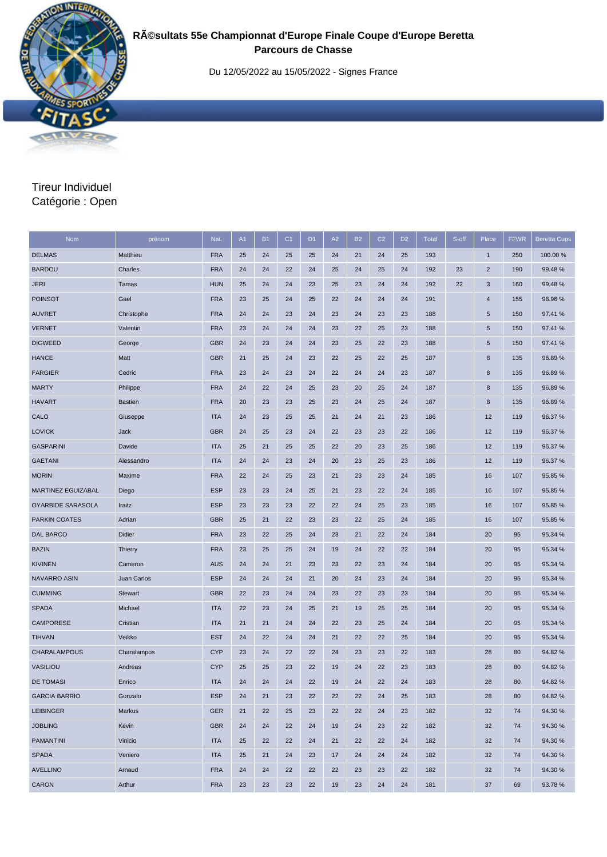

## **Résultats 55e Championnat d'Europe Finale Coupe d'Europe Beretta Parcours de Chasse**

Du 12/05/2022 au 15/05/2022 - Signes France

## Tireur Individuel Catégorie : Open

| Nom                       | prénom         | Nat.       | A1 | <b>B1</b> | C <sub>1</sub> | D <sub>1</sub> | A2 | <b>B2</b> | C <sub>2</sub> | D <sub>2</sub> | <b>Total</b> | S-off | Place          | <b>FFWR</b> | <b>Beretta Cups</b> |
|---------------------------|----------------|------------|----|-----------|----------------|----------------|----|-----------|----------------|----------------|--------------|-------|----------------|-------------|---------------------|
| <b>DELMAS</b>             | Matthieu       | <b>FRA</b> | 25 | 24        | 25             | 25             | 24 | 21        | 24             | 25             | 193          |       | $\mathbf{1}$   | 250         | 100.00 %            |
| <b>BARDOU</b>             | Charles        | <b>FRA</b> | 24 | 24        | 22             | 24             | 25 | 24        | 25             | 24             | 192          | 23    | $\overline{2}$ | 190         | 99.48%              |
| <b>JERI</b>               | Tamas          | <b>HUN</b> | 25 | 24        | 24             | 23             | 25 | 23        | 24             | 24             | 192          | 22    | 3              | 160         | 99.48 %             |
| <b>POINSOT</b>            | Gael           | <b>FRA</b> | 23 | 25        | 24             | 25             | 22 | 24        | 24             | 24             | 191          |       | 4              | 155         | 98.96 %             |
| <b>AUVRET</b>             | Christophe     | <b>FRA</b> | 24 | 24        | 23             | 24             | 23 | 24        | 23             | 23             | 188          |       | 5              | 150         | 97.41 %             |
| <b>VERNET</b>             | Valentin       | <b>FRA</b> | 23 | 24        | 24             | 24             | 23 | 22        | 25             | 23             | 188          |       | 5              | 150         | 97.41 %             |
| <b>DIGWEED</b>            | George         | <b>GBR</b> | 24 | 23        | 24             | 24             | 23 | 25        | 22             | 23             | 188          |       | 5              | 150         | 97.41 %             |
| <b>HANCE</b>              | Matt           | <b>GBR</b> | 21 | 25        | 24             | 23             | 22 | 25        | 22             | 25             | 187          |       | 8              | 135         | 96.89%              |
| <b>FARGIER</b>            | Cedric         | <b>FRA</b> | 23 | 24        | 23             | 24             | 22 | 24        | 24             | 23             | 187          |       | 8              | 135         | 96.89%              |
| <b>MARTY</b>              | Philippe       | <b>FRA</b> | 24 | 22        | 24             | 25             | 23 | 20        | 25             | 24             | 187          |       | 8              | 135         | 96.89%              |
| <b>HAVART</b>             | <b>Bastien</b> | <b>FRA</b> | 20 | 23        | 23             | 25             | 23 | 24        | 25             | 24             | 187          |       | 8              | 135         | 96.89%              |
| CALO                      | Giuseppe       | <b>ITA</b> | 24 | 23        | 25             | 25             | 21 | 24        | 21             | 23             | 186          |       | 12             | 119         | 96.37 %             |
| <b>LOVICK</b>             | Jack           | <b>GBR</b> | 24 | 25        | 23             | 24             | 22 | 23        | 23             | 22             | 186          |       | 12             | 119         | 96.37 %             |
| <b>GASPARINI</b>          | Davide         | <b>ITA</b> | 25 | 21        | 25             | 25             | 22 | 20        | 23             | 25             | 186          |       | 12             | 119         | 96.37 %             |
| <b>GAETANI</b>            | Alessandro     | <b>ITA</b> | 24 | 24        | 23             | 24             | 20 | 23        | 25             | 23             | 186          |       | 12             | 119         | 96.37 %             |
| <b>MORIN</b>              | Maxime         | <b>FRA</b> | 22 | 24        | 25             | 23             | 21 | 23        | 23             | 24             | 185          |       | 16             | 107         | 95.85 %             |
| <b>MARTINEZ EGUIZABAL</b> | Diego          | <b>ESP</b> | 23 | 23        | 24             | 25             | 21 | 23        | 22             | 24             | 185          |       | 16             | 107         | 95.85 %             |
| OYARBIDE SARASOLA         | Iraitz         | <b>ESP</b> | 23 | 23        | 23             | 22             | 22 | 24        | 25             | 23             | 185          |       | 16             | 107         | 95.85 %             |
| <b>PARKIN COATES</b>      | Adrian         | <b>GBR</b> | 25 | 21        | 22             | 23             | 23 | 22        | 25             | 24             | 185          |       | 16             | 107         | 95.85 %             |
| <b>DAL BARCO</b>          | <b>Didier</b>  | <b>FRA</b> | 23 | 22        | 25             | 24             | 23 | 21        | 22             | 24             | 184          |       | 20             | 95          | 95.34 %             |
| <b>BAZIN</b>              | Thierry        | <b>FRA</b> | 23 | 25        | 25             | 24             | 19 | 24        | 22             | 22             | 184          |       | 20             | 95          | 95.34 %             |
| <b>KIVINEN</b>            | Cameron        | <b>AUS</b> | 24 | 24        | 21             | 23             | 23 | 22        | 23             | 24             | 184          |       | 20             | 95          | 95.34 %             |
| <b>NAVARRO ASIN</b>       | Juan Carlos    | <b>ESP</b> | 24 | 24        | 24             | 21             | 20 | 24        | 23             | 24             | 184          |       | 20             | 95          | 95.34 %             |
| <b>CUMMING</b>            | <b>Stewart</b> | <b>GBR</b> | 22 | 23        | 24             | 24             | 23 | 22        | 23             | 23             | 184          |       | 20             | 95          | 95.34 %             |
| <b>SPADA</b>              | Michael        | <b>ITA</b> | 22 | 23        | 24             | 25             | 21 | 19        | 25             | 25             | 184          |       | 20             | 95          | 95.34 %             |
| <b>CAMPORESE</b>          | Cristian       | <b>ITA</b> | 21 | 21        | 24             | 24             | 22 | 23        | 25             | 24             | 184          |       | 20             | 95          | 95.34 %             |
| <b>TIHVAN</b>             | Veikko         | <b>EST</b> | 24 | 22        | 24             | 24             | 21 | 22        | 22             | 25             | 184          |       | 20             | 95          | 95.34 %             |
| <b>CHARALAMPOUS</b>       | Charalampos    | <b>CYP</b> | 23 | 24        | 22             | 22             | 24 | 23        | 23             | 22             | 183          |       | 28             | 80          | 94.82%              |
| <b>VASILIOU</b>           | Andreas        | <b>CYP</b> | 25 | 25        | 23             | 22             | 19 | 24        | 22             | 23             | 183          |       | 28             | 80          | 94.82%              |
| <b>DE TOMASI</b>          | Enrico         | <b>ITA</b> | 24 | 24        | 24             | 22             | 19 | 24        | 22             | 24             | 183          |       | 28             | 80          | 94.82%              |
| <b>GARCIA BARRIO</b>      | Gonzalo        | <b>ESP</b> | 24 | 21        | 23             | 22             | 22 | 22        | 24             | 25             | 183          |       | 28             | 80          | 94.82%              |
| <b>LEIBINGER</b>          | Markus         | <b>GER</b> | 21 | 22        | 25             | 23             | 22 | 22        | 24             | 23             | 182          |       | 32             | 74          | 94.30 %             |
| <b>JOBLING</b>            | Kevin          | <b>GBR</b> | 24 | 24        | 22             | 24             | 19 | 24        | 23             | 22             | 182          |       | 32             | 74          | 94.30 %             |
| <b>PAMANTINI</b>          | Vinicio        | <b>ITA</b> | 25 | 22        | 22             | 24             | 21 | 22        | 22             | 24             | 182          |       | 32             | 74          | 94.30 %             |
| <b>SPADA</b>              | Veniero        | <b>ITA</b> | 25 | 21        | 24             | 23             | 17 | 24        | 24             | 24             | 182          |       | 32             | 74          | 94.30 %             |
| <b>AVELLINO</b>           | Arnaud         | <b>FRA</b> | 24 | 24        | 22             | 22             | 22 | 23        | 23             | 22             | 182          |       | 32             | 74          | 94.30 %             |
| CARON                     | Arthur         | <b>FRA</b> | 23 | 23        | 23             | 22             | 19 | 23        | 24             | 24             | 181          |       | 37             | 69          | 93.78%              |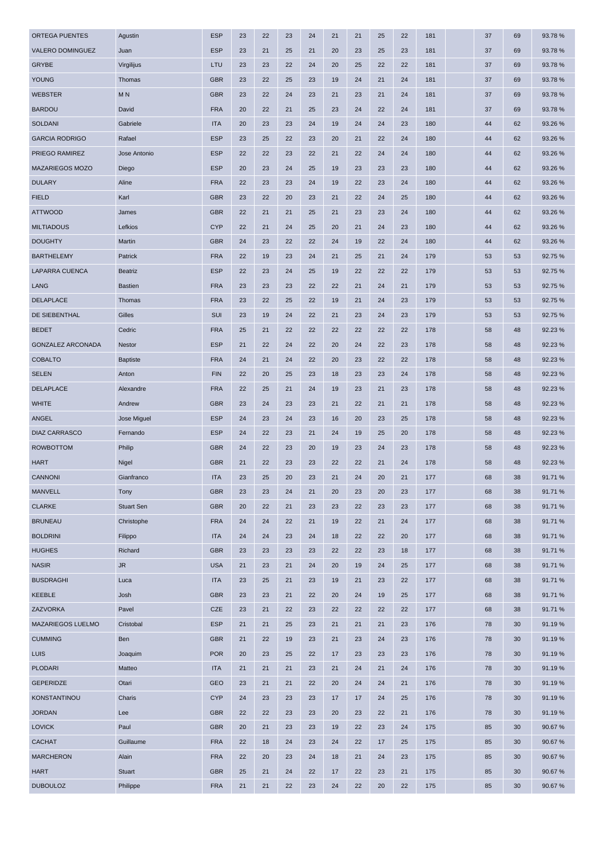| ORTEGA PUENTES           | Agustin           | <b>ESP</b> | 23 | 22 | 23 | 24 | 21 | 21 | 25 | 22 | 181 | 37 | 69 | 93.78 % |
|--------------------------|-------------------|------------|----|----|----|----|----|----|----|----|-----|----|----|---------|
| VALERO DOMINGUEZ         | Juan              | <b>ESP</b> | 23 | 21 | 25 | 21 | 20 | 23 | 25 | 23 | 181 | 37 | 69 | 93.78%  |
| <b>GRYBE</b>             | Virgilijus        | LTU        | 23 | 23 | 22 | 24 | 20 | 25 | 22 | 22 | 181 | 37 | 69 | 93.78 % |
| YOUNG                    | Thomas            | <b>GBR</b> | 23 | 22 | 25 | 23 | 19 | 24 | 21 | 24 | 181 | 37 | 69 | 93.78 % |
| <b>WEBSTER</b>           | M <sub>N</sub>    | <b>GBR</b> | 23 | 22 | 24 | 23 | 21 | 23 | 21 | 24 | 181 | 37 | 69 | 93.78%  |
| <b>BARDOU</b>            | David             | <b>FRA</b> | 20 | 22 | 21 | 25 | 23 | 24 | 22 | 24 | 181 | 37 | 69 | 93.78 % |
| <b>SOLDANI</b>           | Gabriele          | <b>ITA</b> | 20 | 23 | 23 | 24 | 19 | 24 | 24 | 23 | 180 | 44 | 62 | 93.26 % |
| <b>GARCIA RODRIGO</b>    | Rafael            | <b>ESP</b> | 23 | 25 | 22 | 23 | 20 | 21 | 22 | 24 | 180 | 44 | 62 | 93.26 % |
| PRIEGO RAMIREZ           | Jose Antonio      | <b>ESP</b> | 22 | 22 | 23 | 22 | 21 | 22 | 24 | 24 | 180 | 44 | 62 | 93.26 % |
| MAZARIEGOS MOZO          | Diego             | <b>ESP</b> | 20 | 23 | 24 | 25 | 19 | 23 | 23 | 23 | 180 | 44 | 62 | 93.26 % |
| <b>DULARY</b>            | Aline             | <b>FRA</b> | 22 | 23 | 23 | 24 | 19 | 22 | 23 | 24 | 180 | 44 | 62 | 93.26 % |
| <b>FIELD</b>             | Karl              | <b>GBR</b> | 23 | 22 | 20 | 23 | 21 | 22 | 24 | 25 | 180 | 44 | 62 | 93.26 % |
| <b>ATTWOOD</b>           | James             | <b>GBR</b> | 22 | 21 | 21 | 25 | 21 | 23 | 23 | 24 | 180 | 44 | 62 | 93.26 % |
| <b>MILTIADOUS</b>        | Lefkios           | <b>CYP</b> | 22 | 21 | 24 | 25 | 20 | 21 | 24 | 23 | 180 | 44 | 62 | 93.26 % |
| <b>DOUGHTY</b>           | Martin            | <b>GBR</b> | 24 | 23 | 22 | 22 | 24 | 19 | 22 | 24 | 180 | 44 | 62 | 93.26 % |
| <b>BARTHELEMY</b>        | Patrick           | <b>FRA</b> | 22 | 19 | 23 | 24 | 21 | 25 | 21 | 24 | 179 | 53 | 53 | 92.75 % |
| <b>LAPARRA CUENCA</b>    | <b>Beatriz</b>    | <b>ESP</b> | 22 | 23 | 24 | 25 | 19 | 22 | 22 | 22 | 179 | 53 | 53 | 92.75 % |
| LANG                     | <b>Bastien</b>    | <b>FRA</b> | 23 | 23 | 23 | 22 | 22 | 21 | 24 | 21 | 179 | 53 | 53 | 92.75%  |
| <b>DELAPLACE</b>         | Thomas            | <b>FRA</b> | 23 | 22 | 25 | 22 | 19 | 21 | 24 | 23 | 179 | 53 | 53 | 92.75 % |
| DE SIEBENTHAL            | Gilles            | <b>SUI</b> | 23 | 19 | 24 | 22 | 21 | 23 | 24 | 23 | 179 | 53 | 53 | 92.75 % |
| <b>BEDET</b>             | Cedric            | <b>FRA</b> | 25 | 21 | 22 | 22 | 22 | 22 | 22 | 22 | 178 | 58 | 48 | 92.23 % |
| <b>GONZALEZ ARCONADA</b> | Nestor            | <b>ESP</b> | 21 | 22 | 24 | 22 | 20 | 24 | 22 | 23 | 178 | 58 | 48 | 92.23%  |
| <b>COBALTO</b>           | <b>Baptiste</b>   | <b>FRA</b> | 24 | 21 | 24 | 22 | 20 | 23 | 22 | 22 | 178 | 58 | 48 | 92.23 % |
| <b>SELEN</b>             | Anton             | <b>FIN</b> | 22 | 20 | 25 | 23 | 18 | 23 | 23 | 24 | 178 | 58 | 48 | 92.23 % |
| <b>DELAPLACE</b>         | Alexandre         | <b>FRA</b> | 22 | 25 | 21 | 24 | 19 | 23 | 21 | 23 | 178 | 58 | 48 | 92.23%  |
|                          | Andrew            | <b>GBR</b> | 23 | 24 | 23 | 23 | 21 | 22 | 21 | 21 | 178 | 58 | 48 | 92.23 % |
| <b>WHITE</b>             |                   |            |    |    |    |    |    |    |    |    |     |    |    |         |
| <b>ANGEL</b>             | Jose Miguel       | <b>ESP</b> | 24 | 23 | 24 | 23 | 16 | 20 | 23 | 25 | 178 | 58 | 48 | 92.23%  |
| <b>DIAZ CARRASCO</b>     | Fernando          | <b>ESP</b> | 24 | 22 | 23 | 21 | 24 | 19 | 25 | 20 | 178 | 58 | 48 | 92.23 % |
| <b>ROWBOTTOM</b>         | Philip            | <b>GBR</b> | 24 | 22 | 23 | 20 | 19 | 23 | 24 | 23 | 178 | 58 | 48 | 92.23 % |
| <b>HART</b>              | Nigel             | <b>GBR</b> | 21 | 22 | 23 | 23 | 22 | 22 | 21 | 24 | 178 | 58 | 48 | 92.23 % |
| <b>CANNONI</b>           | Gianfranco        | <b>ITA</b> | 23 | 25 | 20 | 23 | 21 | 24 | 20 | 21 | 177 | 68 | 38 | 91.71 % |
| <b>MANVELL</b>           | Tony              | <b>GBR</b> | 23 | 23 | 24 | 21 | 20 | 23 | 20 | 23 | 177 | 68 | 38 | 91.71%  |
| <b>CLARKE</b>            | <b>Stuart Sen</b> | <b>GBR</b> | 20 | 22 | 21 | 23 | 23 | 22 | 23 | 23 | 177 | 68 | 38 | 91.71%  |
| <b>BRUNEAU</b>           | Christophe        | <b>FRA</b> | 24 | 24 | 22 | 21 | 19 | 22 | 21 | 24 | 177 | 68 | 38 | 91.71%  |
| <b>BOLDRINI</b>          | Filippo           | <b>ITA</b> | 24 | 24 | 23 | 24 | 18 | 22 | 22 | 20 | 177 | 68 | 38 | 91.71%  |
| <b>HUGHES</b>            | Richard           | <b>GBR</b> | 23 | 23 | 23 | 23 | 22 | 22 | 23 | 18 | 177 | 68 | 38 | 91.71%  |
| <b>NASIR</b>             | ${\sf JR}$        | <b>USA</b> | 21 | 23 | 21 | 24 | 20 | 19 | 24 | 25 | 177 | 68 | 38 | 91.71%  |
| <b>BUSDRAGHI</b>         | Luca              | <b>ITA</b> | 23 | 25 | 21 | 23 | 19 | 21 | 23 | 22 | 177 | 68 | 38 | 91.71%  |
| KEEBLE                   | Josh              | <b>GBR</b> | 23 | 23 | 21 | 22 | 20 | 24 | 19 | 25 | 177 | 68 | 38 | 91.71%  |
| ZAZVORKA                 | Pavel             | <b>CZE</b> | 23 | 21 | 22 | 23 | 22 | 22 | 22 | 22 | 177 | 68 | 38 | 91.71%  |
| MAZARIEGOS LUELMO        | Cristobal         | <b>ESP</b> | 21 | 21 | 25 | 23 | 21 | 21 | 21 | 23 | 176 | 78 | 30 | 91.19%  |
| <b>CUMMING</b>           | Ben               | <b>GBR</b> | 21 | 22 | 19 | 23 | 21 | 23 | 24 | 23 | 176 | 78 | 30 | 91.19%  |
| LUIS                     | Joaquim           | <b>POR</b> | 20 | 23 | 25 | 22 | 17 | 23 | 23 | 23 | 176 | 78 | 30 | 91.19%  |
| <b>PLODARI</b>           | Matteo            | <b>ITA</b> | 21 | 21 | 21 | 23 | 21 | 24 | 21 | 24 | 176 | 78 | 30 | 91.19%  |
| <b>GEPERIDZE</b>         | Otari             | <b>GEO</b> | 23 | 21 | 21 | 22 | 20 | 24 | 24 | 21 | 176 | 78 | 30 | 91.19%  |
| KONSTANTINOU             | Charis            | <b>CYP</b> | 24 | 23 | 23 | 23 | 17 | 17 | 24 | 25 | 176 | 78 | 30 | 91.19%  |
| <b>JORDAN</b>            | Lee               | <b>GBR</b> | 22 | 22 | 23 | 23 | 20 | 23 | 22 | 21 | 176 | 78 | 30 | 91.19%  |
| <b>LOVICK</b>            | Paul              | <b>GBR</b> | 20 | 21 | 23 | 23 | 19 | 22 | 23 | 24 | 175 | 85 | 30 | 90.67%  |
| CACHAT                   | Guillaume         | <b>FRA</b> | 22 | 18 | 24 | 23 | 24 | 22 | 17 | 25 | 175 | 85 | 30 | 90.67%  |
| <b>MARCHERON</b>         | Alain             | <b>FRA</b> | 22 | 20 | 23 | 24 | 18 | 21 | 24 | 23 | 175 | 85 | 30 | 90.67%  |
| <b>HART</b>              | Stuart            | <b>GBR</b> | 25 | 21 | 24 | 22 | 17 | 22 | 23 | 21 | 175 | 85 | 30 | 90.67%  |
| <b>DUBOULOZ</b>          | Philippe          | <b>FRA</b> | 21 | 21 | 22 | 23 | 24 | 22 | 20 | 22 | 175 | 85 | 30 | 90.67%  |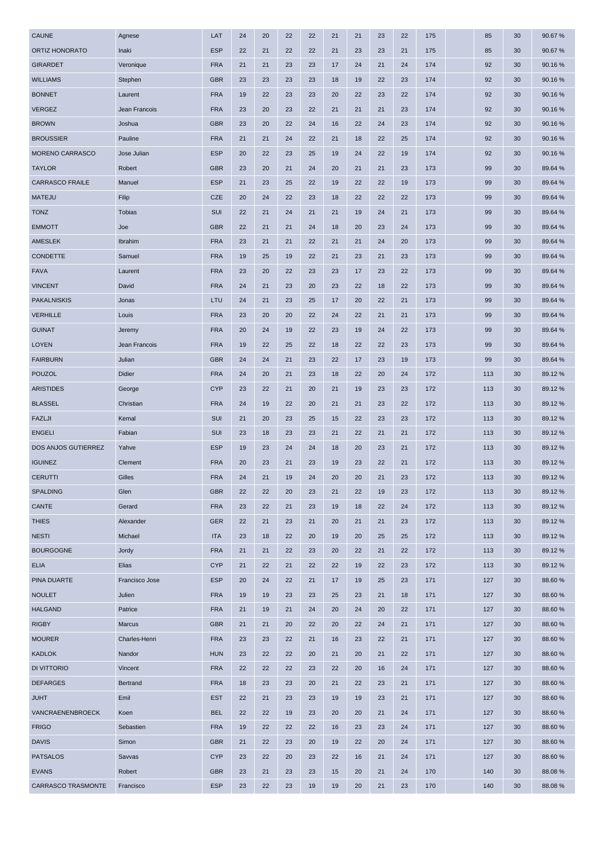| <b>CAUNE</b>              | Agnese         | LAT        | 24 | 20 | 22 | 22 | 21 | 21 | 23 | 22 | 175 | 85  | 30 | 90.67%  |
|---------------------------|----------------|------------|----|----|----|----|----|----|----|----|-----|-----|----|---------|
| ORTIZ HONORATO            | Inaki          | <b>ESP</b> | 22 | 21 | 22 | 22 | 21 | 23 | 23 | 21 | 175 | 85  | 30 | 90.67%  |
| <b>GIRARDET</b>           | Veronique      | <b>FRA</b> | 21 | 21 | 23 | 23 | 17 | 24 | 21 | 24 | 174 | 92  | 30 | 90.16%  |
| <b>WILLIAMS</b>           | Stephen        | <b>GBR</b> | 23 | 23 | 23 | 23 | 18 | 19 | 22 | 23 | 174 | 92  | 30 | 90.16%  |
| <b>BONNET</b>             | Laurent        | <b>FRA</b> | 19 | 22 | 23 | 23 | 20 | 22 | 23 | 22 | 174 | 92  | 30 | 90.16%  |
| <b>VERGEZ</b>             | Jean Francois  | <b>FRA</b> | 23 | 20 | 23 | 22 | 21 | 21 | 21 | 23 | 174 | 92  | 30 | 90.16%  |
| <b>BROWN</b>              | Joshua         | <b>GBR</b> | 23 | 20 | 22 | 24 | 16 | 22 | 24 | 23 | 174 | 92  | 30 | 90.16%  |
| <b>BROUSSIER</b>          | Pauline        | <b>FRA</b> | 21 | 21 | 24 | 22 | 21 | 18 | 22 | 25 | 174 | 92  | 30 | 90.16%  |
| MORENO CARRASCO           | Jose Julian    | <b>ESP</b> | 20 | 22 | 23 | 25 | 19 | 24 | 22 | 19 | 174 | 92  | 30 | 90.16%  |
| <b>TAYLOR</b>             | Robert         | <b>GBR</b> | 23 | 20 | 21 | 24 | 20 | 21 | 21 | 23 | 173 | 99  | 30 | 89.64 % |
| <b>CARRASCO FRAILE</b>    | Manuel         | <b>ESP</b> | 21 | 23 | 25 | 22 | 19 | 22 | 22 | 19 | 173 | 99  | 30 | 89.64 % |
| <b>MATEJU</b>             | Filip          | <b>CZE</b> | 20 | 24 | 22 | 23 | 18 | 22 | 22 | 22 | 173 | 99  | 30 | 89.64 % |
| <b>TONZ</b>               | <b>Tobias</b>  | SUI        | 22 | 21 | 24 | 21 | 21 | 19 | 24 | 21 | 173 | 99  | 30 | 89.64 % |
| <b>EMMOTT</b>             | Joe            | <b>GBR</b> | 22 | 21 | 21 | 24 | 18 | 20 | 23 | 24 | 173 | 99  | 30 | 89.64 % |
| AMESLEK                   | Ibrahim        | <b>FRA</b> | 23 | 21 | 21 | 22 | 21 | 21 | 24 | 20 | 173 | 99  | 30 | 89.64 % |
| <b>CONDETTE</b>           | Samuel         | <b>FRA</b> | 19 | 25 | 19 | 22 | 21 | 23 | 21 | 23 | 173 | 99  | 30 | 89.64 % |
| <b>FAVA</b>               | Laurent        | <b>FRA</b> | 23 | 20 | 22 | 23 | 23 | 17 | 23 | 22 | 173 | 99  | 30 | 89.64 % |
| <b>VINCENT</b>            | David          | <b>FRA</b> | 24 | 21 | 23 | 20 | 23 | 22 | 18 | 22 | 173 | 99  | 30 | 89.64 % |
| <b>PAKALNISKIS</b>        | Jonas          | LTU        | 24 | 21 | 23 | 25 | 17 | 20 | 22 | 21 | 173 | 99  | 30 | 89.64 % |
| <b>VERHILLE</b>           | Louis          | <b>FRA</b> | 23 | 20 | 20 | 22 | 24 | 22 | 21 | 21 | 173 | 99  | 30 | 89.64 % |
| <b>GUINAT</b>             | Jeremy         | <b>FRA</b> | 20 | 24 | 19 | 22 | 23 | 19 | 24 | 22 | 173 | 99  | 30 | 89.64 % |
| <b>LOYEN</b>              | Jean Francois  | <b>FRA</b> | 19 | 22 | 25 | 22 | 18 | 22 | 22 | 23 | 173 | 99  | 30 | 89.64 % |
| <b>FAIRBURN</b>           | Julian         | <b>GBR</b> | 24 | 24 | 21 | 23 | 22 | 17 | 23 | 19 | 173 | 99  | 30 | 89.64 % |
| <b>POUZOL</b>             | Didier         | <b>FRA</b> | 24 | 20 | 21 | 23 | 18 | 22 | 20 | 24 | 172 | 113 | 30 | 89.12%  |
| <b>ARISTIDES</b>          | George         | <b>CYP</b> | 23 | 22 | 21 | 20 | 21 | 19 | 23 | 23 | 172 | 113 | 30 | 89.12%  |
| <b>BLASSEL</b>            | Christian      | <b>FRA</b> | 24 | 19 | 22 | 20 | 21 | 21 | 23 | 22 | 172 | 113 | 30 | 89.12%  |
| <b>FAZLJI</b>             | Kemal          | SUI        | 21 | 20 | 23 | 25 | 15 | 22 | 23 | 23 | 172 | 113 | 30 | 89.12%  |
| <b>ENGELI</b>             | Fabian         | SUI        | 23 | 18 | 23 | 23 | 21 | 22 | 21 | 21 | 172 | 113 | 30 | 89.12 % |
| DOS ANJOS GUTIERREZ       | Yahve          | <b>ESP</b> | 19 | 23 | 24 | 24 | 18 | 20 | 23 | 21 | 172 | 113 | 30 | 89.12%  |
| <b>IGUINEZ</b>            | Clement        | <b>FRA</b> | 20 | 23 | 21 | 23 | 19 | 23 | 22 | 21 | 172 | 113 | 30 | 89.12%  |
| <b>CERUTTI</b>            | Gilles         | <b>FRA</b> | 24 | 21 | 19 | 24 | 20 | 20 | 21 | 23 | 172 | 113 | 30 | 89.12%  |
| SPALDING                  | Glen           | <b>GBR</b> | 22 | 22 | 20 | 23 | 21 | 22 | 19 | 23 | 172 | 113 | 30 | 89.12%  |
| CANTE                     | Gerard         | <b>FRA</b> | 23 | 22 | 21 | 23 | 19 | 18 | 22 | 24 | 172 | 113 | 30 | 89.12 % |
| <b>THIES</b>              | Alexander      | <b>GER</b> | 22 | 21 | 23 | 21 | 20 | 21 | 21 | 23 | 172 | 113 | 30 | 89.12%  |
| <b>NESTI</b>              | Michael        | <b>ITA</b> | 23 | 18 | 22 | 20 | 19 | 20 | 25 | 25 | 172 | 113 | 30 | 89.12%  |
| <b>BOURGOGNE</b>          | Jordy          | <b>FRA</b> | 21 | 21 | 22 | 23 | 20 | 22 | 21 | 22 | 172 | 113 | 30 | 89.12%  |
| <b>ELIA</b>               | Elias          | <b>CYP</b> | 21 | 22 | 21 | 22 | 22 | 19 | 22 | 23 | 172 | 113 | 30 | 89.12%  |
| PINA DUARTE               | Francisco Jose | <b>ESP</b> | 20 | 24 | 22 | 21 | 17 | 19 | 25 | 23 | 171 | 127 | 30 | 88.60 % |
| <b>NOULET</b>             | Julien         | <b>FRA</b> | 19 | 19 | 23 | 23 | 25 | 23 | 21 | 18 | 171 | 127 | 30 | 88.60%  |
| <b>HALGAND</b>            | Patrice        | <b>FRA</b> | 21 | 19 | 21 | 24 | 20 | 24 | 20 | 22 | 171 | 127 | 30 | 88.60 % |
|                           |                |            |    |    |    |    |    |    |    |    |     |     |    |         |
| <b>RIGBY</b>              | Marcus         | <b>GBR</b> | 21 | 21 | 20 | 22 | 20 | 22 | 24 | 21 | 171 | 127 | 30 | 88.60%  |
| <b>MOURER</b>             | Charles-Henri  | <b>FRA</b> | 23 | 23 | 22 | 21 | 16 | 23 | 22 | 21 | 171 | 127 | 30 | 88.60%  |
| <b>KADLOK</b>             | Nandor         | <b>HUN</b> | 23 | 22 | 22 | 20 | 21 | 20 | 21 | 22 | 171 | 127 | 30 | 88.60%  |
| DI VITTORIO               | Vincent        | <b>FRA</b> | 22 | 22 | 22 | 23 | 22 | 20 | 16 | 24 | 171 | 127 | 30 | 88.60 % |
| <b>DEFARGES</b>           | Bertrand       | <b>FRA</b> | 18 | 23 | 23 | 20 | 21 | 22 | 23 | 21 | 171 | 127 | 30 | 88.60 % |
| <b>JUHT</b>               | Emil           | <b>EST</b> | 22 | 21 | 23 | 23 | 19 | 19 | 23 | 21 | 171 | 127 | 30 | 88.60%  |
| VANCRAENENBROECK          | Koen           | <b>BEL</b> | 22 | 22 | 19 | 23 | 20 | 20 | 21 | 24 | 171 | 127 | 30 | 88.60%  |
| <b>FRIGO</b>              | Sebastien      | <b>FRA</b> | 19 | 22 | 22 | 22 | 16 | 23 | 23 | 24 | 171 | 127 | 30 | 88.60%  |
| <b>DAVIS</b>              | Simon          | <b>GBR</b> | 21 | 22 | 23 | 20 | 19 | 22 | 20 | 24 | 171 | 127 | 30 | 88.60 % |
| <b>PATSALOS</b>           | Savvas         | <b>CYP</b> | 23 | 22 | 20 | 23 | 22 | 16 | 21 | 24 | 171 | 127 | 30 | 88.60 % |
| <b>EVANS</b>              | Robert         | <b>GBR</b> | 23 | 21 | 23 | 23 | 15 | 20 | 21 | 24 | 170 | 140 | 30 | 88.08%  |
| <b>CARRASCO TRASMONTE</b> | Francisco      | <b>ESP</b> | 23 | 22 | 23 | 19 | 19 | 20 | 21 | 23 | 170 | 140 | 30 | 88.08%  |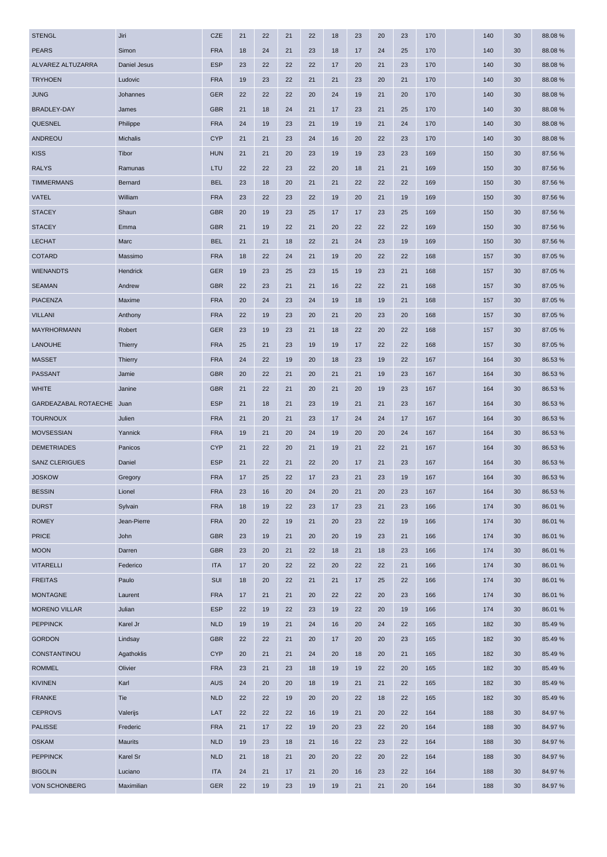| <b>STENGL</b>             | Jiri            | <b>CZE</b> | 21 | 22 | 21 | 22 | 18 | 23 | 20 | 23 | 170 | 140 | 30 | 88.08%  |
|---------------------------|-----------------|------------|----|----|----|----|----|----|----|----|-----|-----|----|---------|
| <b>PEARS</b>              | Simon           | <b>FRA</b> | 18 | 24 | 21 | 23 | 18 | 17 | 24 | 25 | 170 | 140 | 30 | 88.08%  |
| ALVAREZ ALTUZARRA         | Daniel Jesus    | <b>ESP</b> | 23 | 22 | 22 | 22 | 17 | 20 | 21 | 23 | 170 | 140 | 30 | 88.08%  |
| <b>TRYHOEN</b>            | Ludovic         | <b>FRA</b> | 19 | 23 | 22 | 21 | 21 | 23 | 20 | 21 | 170 | 140 | 30 | 88.08%  |
| <b>JUNG</b>               | Johannes        | <b>GER</b> | 22 | 22 | 22 | 20 | 24 | 19 | 21 | 20 | 170 | 140 | 30 | 88.08%  |
| <b>BRADLEY-DAY</b>        | James           | <b>GBR</b> | 21 | 18 | 24 | 21 | 17 | 23 | 21 | 25 | 170 | 140 | 30 | 88.08%  |
| <b>QUESNEL</b>            | Philippe        | <b>FRA</b> | 24 | 19 | 23 | 21 | 19 | 19 | 21 | 24 | 170 | 140 | 30 | 88.08%  |
| ANDREOU                   | <b>Michalis</b> | <b>CYP</b> | 21 | 21 | 23 | 24 | 16 | 20 | 22 | 23 | 170 | 140 | 30 | 88.08%  |
| <b>KISS</b>               | Tibor           | <b>HUN</b> | 21 | 21 | 20 | 23 | 19 | 19 | 23 | 23 | 169 | 150 | 30 | 87.56 % |
| <b>RALYS</b>              | Ramunas         | LTU        | 22 | 22 | 23 | 22 | 20 | 18 | 21 | 21 | 169 | 150 | 30 | 87.56 % |
| <b>TIMMERMANS</b>         | <b>Bernard</b>  | <b>BEL</b> | 23 | 18 | 20 | 21 | 21 | 22 | 22 | 22 | 169 | 150 | 30 | 87.56 % |
| VATEL                     | William         | <b>FRA</b> | 23 | 22 | 23 | 22 | 19 | 20 | 21 | 19 | 169 | 150 | 30 | 87.56 % |
| <b>STACEY</b>             | Shaun           | <b>GBR</b> | 20 | 19 | 23 | 25 | 17 | 17 | 23 | 25 | 169 | 150 | 30 | 87.56 % |
| <b>STACEY</b>             | Emma            | <b>GBR</b> | 21 | 19 | 22 | 21 | 20 | 22 | 22 | 22 | 169 | 150 | 30 | 87.56 % |
| <b>LECHAT</b>             | Marc            | <b>BEL</b> | 21 | 21 | 18 | 22 | 21 | 24 | 23 | 19 | 169 | 150 | 30 | 87.56 % |
| <b>COTARD</b>             | Massimo         | <b>FRA</b> | 18 | 22 | 24 | 21 | 19 | 20 | 22 | 22 | 168 | 157 | 30 | 87.05 % |
| <b>WIENANDTS</b>          | Hendrick        | <b>GER</b> | 19 | 23 | 25 | 23 | 15 | 19 | 23 | 21 | 168 | 157 | 30 | 87.05%  |
| <b>SEAMAN</b>             | Andrew          | <b>GBR</b> | 22 | 23 | 21 | 21 | 16 | 22 | 22 | 21 | 168 | 157 | 30 | 87.05 % |
| <b>PIACENZA</b>           | Maxime          | <b>FRA</b> | 20 | 24 | 23 | 24 | 19 | 18 | 19 | 21 | 168 | 157 | 30 | 87.05 % |
| <b>VILLANI</b>            | Anthony         | <b>FRA</b> | 22 | 19 | 23 | 20 | 21 | 20 | 23 | 20 | 168 | 157 | 30 | 87.05%  |
| <b>MAYRHORMANN</b>        | Robert          | <b>GER</b> | 23 | 19 | 23 | 21 | 18 | 22 | 20 | 22 | 168 | 157 | 30 | 87.05 % |
| <b>LANOUHE</b>            | <b>Thierry</b>  | <b>FRA</b> | 25 | 21 | 23 | 19 | 19 | 17 | 22 | 22 | 168 | 157 | 30 | 87.05%  |
| <b>MASSET</b>             | Thierry         | <b>FRA</b> | 24 | 22 | 19 | 20 | 18 | 23 | 19 | 22 | 167 | 164 | 30 | 86.53 % |
| <b>PASSANT</b>            | Jamie           | <b>GBR</b> | 20 | 22 | 21 | 20 | 21 | 21 | 19 | 23 | 167 | 164 | 30 | 86.53 % |
| <b>WHITE</b>              | Janine          | <b>GBR</b> | 21 | 22 | 21 | 20 | 21 | 20 | 19 | 23 | 167 | 164 | 30 | 86.53 % |
| GARDEAZABAL ROTAECHE Juan |                 | <b>ESP</b> | 21 | 18 | 21 | 23 | 19 | 21 | 21 | 23 | 167 | 164 | 30 | 86.53 % |
| <b>TOURNOUX</b>           | Julien          | <b>FRA</b> | 21 | 20 | 21 | 23 | 17 | 24 | 24 | 17 | 167 | 164 | 30 | 86.53 % |
| <b>MOVSESSIAN</b>         | Yannick         | <b>FRA</b> | 19 | 21 | 20 | 24 | 19 | 20 | 20 | 24 | 167 | 164 | 30 | 86.53 % |
| <b>DEMETRIADES</b>        | Panicos         | <b>CYP</b> | 21 | 22 | 20 | 21 | 19 | 21 | 22 | 21 | 167 | 164 | 30 | 86.53 % |
| <b>SANZ CLERIGUES</b>     | Daniel          | <b>ESP</b> | 21 | 22 | 21 | 22 | 20 | 17 | 21 | 23 | 167 | 164 | 30 | 86.53 % |
| <b>JOSKOW</b>             | Gregory         | <b>FRA</b> | 17 | 25 | 22 | 17 | 23 | 21 | 23 | 19 | 167 | 164 | 30 | 86.53 % |
| <b>BESSIN</b>             | Lionel          | <b>FRA</b> | 23 | 16 | 20 | 24 | 20 | 21 | 20 | 23 | 167 | 164 | 30 | 86.53 % |
| <b>DURST</b>              | Sylvain         | <b>FRA</b> | 18 | 19 | 22 | 23 | 17 | 23 | 21 | 23 | 166 | 174 | 30 | 86.01%  |
| <b>ROMEY</b>              | Jean-Pierre     | <b>FRA</b> | 20 | 22 | 19 | 21 | 20 | 23 | 22 | 19 | 166 | 174 | 30 | 86.01 % |
| <b>PRICE</b>              | John            | <b>GBR</b> | 23 | 19 | 21 | 20 | 20 | 19 | 23 | 21 | 166 | 174 | 30 | 86.01%  |
| <b>MOON</b>               | Darren          | <b>GBR</b> | 23 | 20 | 21 | 22 | 18 | 21 | 18 | 23 | 166 | 174 | 30 | 86.01 % |
| <b>VITARELLI</b>          | Federico        | <b>ITA</b> | 17 | 20 | 22 | 22 | 20 | 22 | 22 | 21 | 166 | 174 | 30 | 86.01 % |
| <b>FREITAS</b>            | Paulo           | SUI        | 18 | 20 | 22 | 21 | 21 | 17 | 25 | 22 | 166 | 174 | 30 | 86.01%  |
| <b>MONTAGNE</b>           | Laurent         | <b>FRA</b> | 17 | 21 | 21 | 20 | 22 | 22 | 20 | 23 | 166 | 174 | 30 | 86.01 % |
| <b>MORENO VILLAR</b>      | Julian          | <b>ESP</b> | 22 | 19 | 22 | 23 | 19 | 22 | 20 | 19 | 166 | 174 | 30 | 86.01%  |
| <b>PEPPINCK</b>           | Karel Jr        | <b>NLD</b> | 19 | 19 | 21 | 24 | 16 | 20 | 24 | 22 | 165 | 182 | 30 | 85.49%  |
| <b>GORDON</b>             | Lindsay         | <b>GBR</b> | 22 | 22 | 21 | 20 | 17 | 20 | 20 | 23 | 165 | 182 | 30 | 85.49%  |
| CONSTANTINOU              | Agathoklis      | <b>CYP</b> | 20 | 21 | 21 | 24 | 20 | 18 | 20 | 21 | 165 | 182 | 30 | 85.49%  |
| <b>ROMMEL</b>             | Olivier         | <b>FRA</b> | 23 | 21 | 23 | 18 | 19 | 19 | 22 | 20 | 165 | 182 | 30 | 85.49%  |
| KIVINEN                   | Karl            | <b>AUS</b> | 24 | 20 | 20 | 18 | 19 | 21 | 21 | 22 | 165 | 182 | 30 | 85.49%  |
| <b>FRANKE</b>             | Tie             | <b>NLD</b> | 22 | 22 | 19 | 20 | 20 | 22 | 18 | 22 | 165 | 182 | 30 | 85.49%  |
| <b>CEPROVS</b>            | Valerijs        | LAT        | 22 | 22 | 22 | 16 | 19 | 21 | 20 | 22 | 164 | 188 | 30 | 84.97%  |
| <b>PALISSE</b>            | Frederic        | <b>FRA</b> | 21 | 17 | 22 | 19 | 20 | 23 | 22 | 20 | 164 | 188 | 30 | 84.97%  |
| <b>OSKAM</b>              | <b>Maurits</b>  | <b>NLD</b> | 19 | 23 | 18 | 21 | 16 | 22 | 23 | 22 | 164 | 188 | 30 | 84.97%  |
| <b>PEPPINCK</b>           | Karel Sr        | <b>NLD</b> | 21 | 18 | 21 | 20 | 20 | 22 | 20 | 22 | 164 | 188 | 30 | 84.97%  |
| <b>BIGOLIN</b>            | Luciano         | <b>ITA</b> | 24 | 21 | 17 | 21 | 20 | 16 | 23 | 22 | 164 | 188 | 30 | 84.97%  |
| <b>VON SCHONBERG</b>      | Maximilian      | <b>GER</b> | 22 | 19 | 23 | 19 | 19 | 21 | 21 | 20 | 164 | 188 | 30 | 84.97%  |
|                           |                 |            |    |    |    |    |    |    |    |    |     |     |    |         |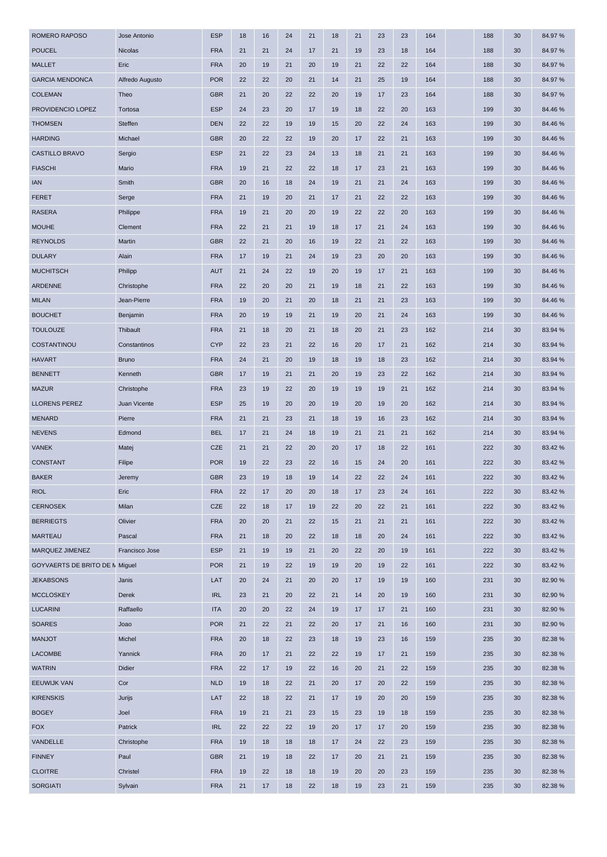| <b>ROMERO RAPOSO</b>                  | Jose Antonio    | <b>ESP</b> | 18 | 16 | 24 | 21 | 18 | 21 | 23 | 23 | 164 | 188 | 30 | 84.97%  |
|---------------------------------------|-----------------|------------|----|----|----|----|----|----|----|----|-----|-----|----|---------|
| <b>POUCEL</b>                         | <b>Nicolas</b>  | <b>FRA</b> | 21 | 21 | 24 | 17 | 21 | 19 | 23 | 18 | 164 | 188 | 30 | 84.97%  |
| <b>MALLET</b>                         | Eric            | <b>FRA</b> | 20 | 19 | 21 | 20 | 19 | 21 | 22 | 22 | 164 | 188 | 30 | 84.97%  |
| <b>GARCIA MENDONCA</b>                | Alfredo Augusto | <b>POR</b> | 22 | 22 | 20 | 21 | 14 | 21 | 25 | 19 | 164 | 188 | 30 | 84.97%  |
| <b>COLEMAN</b>                        | Theo            | <b>GBR</b> | 21 | 20 | 22 | 22 | 20 | 19 | 17 | 23 | 164 | 188 | 30 | 84.97%  |
| PROVIDENCIO LOPEZ                     | Tortosa         | <b>ESP</b> | 24 | 23 | 20 | 17 | 19 | 18 | 22 | 20 | 163 | 199 | 30 | 84.46%  |
| <b>THOMSEN</b>                        | Steffen         | <b>DEN</b> | 22 | 22 | 19 | 19 | 15 | 20 | 22 | 24 | 163 | 199 | 30 | 84.46%  |
| <b>HARDING</b>                        | Michael         | <b>GBR</b> | 20 | 22 | 22 | 19 | 20 | 17 | 22 | 21 | 163 | 199 | 30 | 84.46%  |
| CASTILLO BRAVO                        | Sergio          | <b>ESP</b> | 21 | 22 | 23 | 24 | 13 | 18 | 21 | 21 | 163 | 199 | 30 | 84.46 % |
| <b>FIASCHI</b>                        | Mario           | <b>FRA</b> | 19 | 21 | 22 | 22 | 18 | 17 | 23 | 21 | 163 | 199 | 30 | 84.46%  |
| <b>IAN</b>                            | Smith           | <b>GBR</b> | 20 | 16 | 18 | 24 | 19 | 21 | 21 | 24 | 163 | 199 | 30 | 84.46%  |
| <b>FERET</b>                          | Serge           | <b>FRA</b> | 21 | 19 | 20 | 21 | 17 | 21 | 22 | 22 | 163 | 199 | 30 | 84.46%  |
| <b>RASERA</b>                         | Philippe        | <b>FRA</b> | 19 | 21 | 20 | 20 | 19 | 22 | 22 | 20 | 163 | 199 | 30 | 84.46%  |
| <b>MOUHE</b>                          | Clement         | <b>FRA</b> | 22 | 21 | 21 | 19 | 18 | 17 | 21 | 24 | 163 | 199 | 30 | 84.46 % |
| <b>REYNOLDS</b>                       | Martin          | <b>GBR</b> | 22 | 21 | 20 | 16 | 19 | 22 | 21 | 22 | 163 | 199 | 30 | 84.46%  |
| <b>DULARY</b>                         | Alain           | <b>FRA</b> | 17 | 19 | 21 | 24 | 19 | 23 | 20 | 20 | 163 | 199 | 30 | 84.46%  |
| <b>MUCHITSCH</b>                      | Philipp         | <b>AUT</b> | 21 | 24 | 22 | 19 | 20 | 19 | 17 | 21 | 163 | 199 | 30 | 84.46%  |
| ARDENNE                               | Christophe      | <b>FRA</b> | 22 | 20 | 20 | 21 | 19 | 18 | 21 | 22 | 163 | 199 | 30 | 84.46%  |
| <b>MILAN</b>                          | Jean-Pierre     | <b>FRA</b> | 19 | 20 | 21 | 20 | 18 | 21 | 21 | 23 | 163 | 199 | 30 | 84.46%  |
| <b>BOUCHET</b>                        | Benjamin        | <b>FRA</b> | 20 | 19 | 19 | 21 | 19 | 20 | 21 | 24 | 163 | 199 | 30 | 84.46%  |
| <b>TOULOUZE</b>                       | Thibault        | <b>FRA</b> | 21 | 18 | 20 | 21 | 18 | 20 | 21 | 23 | 162 | 214 | 30 | 83.94 % |
| COSTANTINOU                           | Constantinos    | <b>CYP</b> | 22 | 23 | 21 | 22 | 16 | 20 | 17 | 21 | 162 | 214 | 30 | 83.94 % |
| <b>HAVART</b>                         | <b>Bruno</b>    | <b>FRA</b> | 24 | 21 | 20 | 19 | 18 | 19 | 18 | 23 | 162 | 214 | 30 | 83.94 % |
| <b>BENNETT</b>                        | Kenneth         | <b>GBR</b> | 17 | 19 | 21 | 21 | 20 | 19 | 23 | 22 | 162 | 214 | 30 | 83.94 % |
| <b>MAZUR</b>                          | Christophe      | <b>FRA</b> | 23 | 19 | 22 | 20 | 19 | 19 | 19 | 21 | 162 | 214 | 30 | 83.94 % |
| <b>LLORENS PEREZ</b>                  | Juan Vicente    | <b>ESP</b> | 25 | 19 | 20 | 20 | 19 | 20 | 19 | 20 | 162 | 214 | 30 | 83.94 % |
| <b>MENARD</b>                         | Pierre          | <b>FRA</b> | 21 | 21 | 23 | 21 | 18 | 19 | 16 | 23 | 162 | 214 | 30 | 83.94 % |
| <b>NEVENS</b>                         | Edmond          | <b>BEL</b> | 17 | 21 | 24 | 18 | 19 | 21 | 21 | 21 | 162 | 214 | 30 | 83.94 % |
| <b>VANEK</b>                          | Matej           | <b>CZE</b> | 21 | 21 | 22 | 20 | 20 | 17 | 18 | 22 | 161 | 222 | 30 | 83.42 % |
| <b>CONSTANT</b>                       | Filipe          | <b>POR</b> | 19 | 22 | 23 | 22 | 16 | 15 | 24 | 20 | 161 | 222 | 30 | 83.42 % |
| <b>BAKER</b>                          | Jeremy          | <b>GBR</b> | 23 | 19 | 18 | 19 | 14 | 22 | 22 | 24 | 161 | 222 | 30 | 83.42%  |
| <b>RIOL</b>                           | Eric            | <b>FRA</b> | 22 | 17 | 20 | 20 | 18 | 17 | 23 | 24 | 161 | 222 | 30 | 83.42 % |
| <b>CERNOSEK</b>                       | Milan           | <b>CZE</b> | 22 | 18 | 17 | 19 | 22 | 20 | 22 | 21 | 161 | 222 | 30 | 83.42 % |
| <b>BERRIEGTS</b>                      | Olivier         | <b>FRA</b> | 20 | 20 | 21 | 22 | 15 | 21 | 21 | 21 | 161 | 222 | 30 | 83.42 % |
| <b>MARTEAU</b>                        | Pascal          | <b>FRA</b> | 21 | 18 | 20 | 22 | 18 | 18 | 20 | 24 | 161 | 222 | 30 | 83.42%  |
| MARQUEZ JIMENEZ                       | Francisco Jose  | <b>ESP</b> | 21 | 19 | 19 | 21 | 20 | 22 | 20 | 19 | 161 | 222 | 30 | 83.42 % |
| <b>GOYVAERTS DE BRITO DE N Miguel</b> |                 | <b>POR</b> | 21 | 19 | 22 | 19 | 19 | 20 | 19 | 22 | 161 | 222 | 30 | 83.42 % |
| <b>JEKABSONS</b>                      | Janis           | LAT        | 20 | 24 | 21 | 20 | 20 | 17 | 19 | 19 | 160 | 231 | 30 | 82.90 % |
| <b>MCCLOSKEY</b>                      | Derek           | <b>IRL</b> | 23 | 21 | 20 | 22 | 21 | 14 | 20 | 19 | 160 | 231 | 30 | 82.90%  |
| <b>LUCARINI</b>                       | Raffaello       | <b>ITA</b> | 20 | 20 | 22 | 24 | 19 | 17 | 17 | 21 | 160 | 231 | 30 | 82.90%  |
| <b>SOARES</b>                         | Joao            | <b>POR</b> | 21 | 22 | 21 | 22 | 20 | 17 | 21 | 16 | 160 | 231 | 30 | 82.90%  |
| <b>MANJOT</b>                         | Michel          | <b>FRA</b> | 20 | 18 | 22 | 23 | 18 | 19 | 23 | 16 | 159 | 235 | 30 | 82.38 % |
| <b>LACOMBE</b>                        | Yannick         | <b>FRA</b> | 20 | 17 | 21 | 22 | 22 | 19 | 17 | 21 | 159 | 235 | 30 | 82.38%  |
| <b>WATRIN</b>                         | Didier          | <b>FRA</b> | 22 | 17 | 19 | 22 | 16 | 20 | 21 | 22 | 159 | 235 | 30 | 82.38%  |
| <b>EEUWIJK VAN</b>                    | Cor             | <b>NLD</b> | 19 | 18 | 22 | 21 | 20 | 17 | 20 | 22 | 159 | 235 | 30 | 82.38 % |
| <b>KIRENSKIS</b>                      | Jurijs          | LAT        | 22 | 18 | 22 | 21 | 17 | 19 | 20 | 20 | 159 | 235 | 30 | 82.38%  |
| <b>BOGEY</b>                          | Joel            | <b>FRA</b> | 19 | 21 | 21 | 23 | 15 | 23 | 19 | 18 | 159 | 235 | 30 | 82.38 % |
| <b>FOX</b>                            | Patrick         | <b>IRL</b> | 22 | 22 | 22 | 19 | 20 | 17 | 17 | 20 | 159 | 235 | 30 | 82.38 % |
| VANDELLE                              | Christophe      | <b>FRA</b> | 19 | 18 | 18 | 18 | 17 | 24 | 22 | 23 | 159 | 235 | 30 | 82.38%  |
| <b>FINNEY</b>                         | Paul            | <b>GBR</b> | 21 | 19 | 18 | 22 | 17 | 20 | 21 | 21 | 159 | 235 | 30 | 82.38%  |
| <b>CLOITRE</b>                        | Christel        | <b>FRA</b> | 19 | 22 | 18 | 18 | 19 | 20 | 20 | 23 | 159 | 235 | 30 | 82.38%  |
| <b>SORGIATI</b>                       | Sylvain         | <b>FRA</b> | 21 | 17 | 18 | 22 | 18 | 19 | 23 | 21 | 159 | 235 | 30 | 82.38 % |
|                                       |                 |            |    |    |    |    |    |    |    |    |     |     |    |         |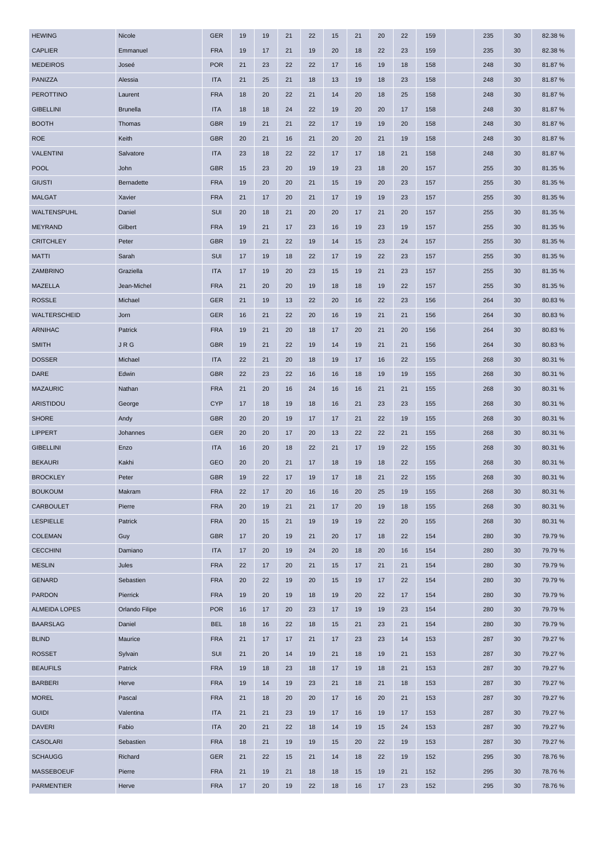| <b>HEWING</b>        | Nicole          | <b>GER</b> | 19 | 19 | 21 | 22 | 15 | 21 | 20 | 22 | 159 | 235 | 30 | 82.38 % |
|----------------------|-----------------|------------|----|----|----|----|----|----|----|----|-----|-----|----|---------|
| <b>CAPLIER</b>       | Emmanuel        | <b>FRA</b> | 19 | 17 | 21 | 19 | 20 | 18 | 22 | 23 | 159 | 235 | 30 | 82.38 % |
| <b>MEDEIROS</b>      | Joseé           | <b>POR</b> | 21 | 23 | 22 | 22 | 17 | 16 | 19 | 18 | 158 | 248 | 30 | 81.87%  |
| PANIZZA              | Alessia         | <b>ITA</b> | 21 | 25 | 21 | 18 | 13 | 19 | 18 | 23 | 158 | 248 | 30 | 81.87%  |
| <b>PEROTTINO</b>     | Laurent         | <b>FRA</b> | 18 | 20 | 22 | 21 | 14 | 20 | 18 | 25 | 158 | 248 | 30 | 81.87%  |
| <b>GIBELLINI</b>     | <b>Brunella</b> | <b>ITA</b> | 18 | 18 | 24 | 22 | 19 | 20 | 20 | 17 | 158 | 248 | 30 | 81.87%  |
| <b>BOOTH</b>         | Thomas          | <b>GBR</b> | 19 | 21 | 21 | 22 | 17 | 19 | 19 | 20 | 158 | 248 | 30 | 81.87%  |
| <b>ROE</b>           | Keith           | <b>GBR</b> | 20 | 21 | 16 | 21 | 20 | 20 | 21 | 19 | 158 | 248 | 30 | 81.87%  |
| <b>VALENTINI</b>     | Salvatore       | <b>ITA</b> | 23 | 18 | 22 | 22 | 17 | 17 | 18 | 21 | 158 | 248 | 30 | 81.87%  |
| <b>POOL</b>          | John            | <b>GBR</b> | 15 | 23 | 20 | 19 | 19 | 23 | 18 | 20 | 157 | 255 | 30 | 81.35 % |
| <b>GIUSTI</b>        | Bernadette      | <b>FRA</b> | 19 | 20 | 20 | 21 | 15 | 19 | 20 | 23 | 157 | 255 | 30 | 81.35 % |
| <b>MALGAT</b>        | Xavier          | <b>FRA</b> | 21 | 17 | 20 | 21 | 17 | 19 | 19 | 23 | 157 | 255 | 30 | 81.35 % |
| WALTENSPUHL          | Daniel          | SUI        | 20 | 18 | 21 | 20 | 20 | 17 | 21 | 20 | 157 | 255 | 30 | 81.35 % |
| <b>MEYRAND</b>       | Gilbert         | <b>FRA</b> | 19 | 21 | 17 | 23 | 16 | 19 | 23 | 19 | 157 | 255 | 30 | 81.35 % |
| <b>CRITCHLEY</b>     | Peter           | <b>GBR</b> | 19 | 21 | 22 | 19 | 14 | 15 | 23 | 24 | 157 | 255 | 30 | 81.35 % |
| <b>MATTI</b>         | Sarah           | SUI        | 17 | 19 | 18 | 22 | 17 | 19 | 22 | 23 | 157 | 255 | 30 | 81.35 % |
| ZAMBRINO             | Graziella       | <b>ITA</b> | 17 | 19 | 20 | 23 | 15 | 19 | 21 | 23 | 157 | 255 | 30 | 81.35 % |
| <b>MAZELLA</b>       | Jean-Michel     | <b>FRA</b> | 21 | 20 | 20 | 19 | 18 | 18 | 19 | 22 | 157 | 255 | 30 | 81.35 % |
| <b>ROSSLE</b>        | Michael         | <b>GER</b> | 21 | 19 | 13 | 22 | 20 | 16 | 22 | 23 | 156 | 264 | 30 | 80.83%  |
| <b>WALTERSCHEID</b>  | Jorn            | <b>GER</b> | 16 | 21 | 22 | 20 | 16 | 19 | 21 | 21 | 156 | 264 | 30 | 80.83%  |
| ARNIHAC              | Patrick         | <b>FRA</b> | 19 | 21 | 20 | 18 | 17 | 20 | 21 | 20 | 156 | 264 | 30 | 80.83%  |
| <b>SMITH</b>         | <b>JRG</b>      | <b>GBR</b> | 19 | 21 | 22 | 19 | 14 | 19 | 21 | 21 | 156 | 264 | 30 | 80.83%  |
| <b>DOSSER</b>        | Michael         | <b>ITA</b> | 22 | 21 | 20 | 18 | 19 | 17 | 16 | 22 | 155 | 268 | 30 | 80.31 % |
| <b>DARE</b>          | Edwin           | <b>GBR</b> | 22 | 23 | 22 | 16 | 16 | 18 | 19 | 19 | 155 | 268 | 30 | 80.31 % |
| <b>MAZAURIC</b>      | Nathan          | <b>FRA</b> | 21 | 20 | 16 | 24 | 16 | 16 | 21 | 21 | 155 | 268 | 30 | 80.31 % |
| ARISTIDOU            | George          | <b>CYP</b> | 17 | 18 | 19 | 18 | 16 | 21 | 23 | 23 | 155 | 268 | 30 | 80.31 % |
| <b>SHORE</b>         | Andy            | <b>GBR</b> | 20 | 20 | 19 | 17 | 17 | 21 | 22 | 19 | 155 | 268 | 30 | 80.31 % |
| <b>LIPPERT</b>       | Johannes        | <b>GER</b> | 20 | 20 | 17 | 20 | 13 | 22 | 22 | 21 | 155 | 268 | 30 | 80.31 % |
| <b>GIBELLINI</b>     | Enzo            | <b>ITA</b> | 16 | 20 | 18 | 22 | 21 | 17 | 19 | 22 | 155 | 268 | 30 | 80.31 % |
| <b>BEKAURI</b>       | Kakhi           | <b>GEO</b> | 20 | 20 | 21 | 17 | 18 | 19 | 18 | 22 | 155 | 268 | 30 | 80.31 % |
| <b>BROCKLEY</b>      | Peter           | <b>GBR</b> | 19 | 22 | 17 | 19 | 17 | 18 | 21 | 22 | 155 | 268 | 30 | 80.31 % |
| <b>BOUKOUM</b>       | Makram          | <b>FRA</b> | 22 | 17 | 20 | 16 | 16 | 20 | 25 | 19 | 155 | 268 | 30 | 80.31 % |
| <b>CARBOULET</b>     | Pierre          | <b>FRA</b> | 20 | 19 | 21 | 21 | 17 | 20 | 19 | 18 | 155 | 268 | 30 | 80.31 % |
| <b>LESPIELLE</b>     | Patrick         | <b>FRA</b> | 20 | 15 | 21 | 19 | 19 | 19 | 22 | 20 | 155 | 268 | 30 | 80.31 % |
| <b>COLEMAN</b>       | Guy             | <b>GBR</b> | 17 | 20 | 19 | 21 | 20 | 17 | 18 | 22 | 154 | 280 | 30 | 79.79 % |
| <b>CECCHINI</b>      | Damiano         | <b>ITA</b> | 17 | 20 | 19 | 24 | 20 | 18 | 20 | 16 | 154 | 280 | 30 | 79.79%  |
| <b>MESLIN</b>        | Jules           | <b>FRA</b> | 22 | 17 | 20 | 21 | 15 | 17 | 21 | 21 | 154 | 280 | 30 | 79.79 % |
| <b>GENARD</b>        | Sebastien       | <b>FRA</b> | 20 | 22 | 19 | 20 | 15 | 19 | 17 | 22 | 154 | 280 | 30 | 79.79 % |
| <b>PARDON</b>        | Pierrick        | <b>FRA</b> | 19 | 20 | 19 | 18 | 19 | 20 | 22 | 17 | 154 | 280 | 30 | 79.79%  |
| <b>ALMEIDA LOPES</b> | Orlando Filipe  | <b>POR</b> | 16 | 17 | 20 | 23 | 17 | 19 | 19 | 23 | 154 | 280 | 30 | 79.79 % |
| <b>BAARSLAG</b>      | Daniel          | <b>BEL</b> | 18 | 16 | 22 | 18 | 15 | 21 | 23 | 21 | 154 | 280 | 30 | 79.79 % |
| <b>BLIND</b>         | Maurice         | <b>FRA</b> | 21 | 17 | 17 | 21 | 17 | 23 | 23 | 14 | 153 | 287 | 30 | 79.27 % |
| <b>ROSSET</b>        | Sylvain         | <b>SUI</b> | 21 | 20 | 14 | 19 | 21 | 18 | 19 | 21 | 153 | 287 | 30 | 79.27 % |
| <b>BEAUFILS</b>      | Patrick         | <b>FRA</b> | 19 | 18 | 23 | 18 | 17 | 19 | 18 | 21 | 153 | 287 | 30 | 79.27 % |
| <b>BARBERI</b>       | Herve           | <b>FRA</b> | 19 | 14 | 19 | 23 | 21 | 18 | 21 | 18 | 153 | 287 | 30 | 79.27 % |
| <b>MOREL</b>         | Pascal          | <b>FRA</b> | 21 | 18 | 20 | 20 | 17 | 16 | 20 | 21 | 153 | 287 | 30 | 79.27 % |
| <b>GUIDI</b>         | Valentina       | <b>ITA</b> | 21 | 21 | 23 | 19 | 17 | 16 | 19 | 17 | 153 | 287 | 30 | 79.27 % |
| <b>DAVERI</b>        | Fabio           | <b>ITA</b> | 20 | 21 | 22 | 18 | 14 | 19 | 15 | 24 | 153 | 287 | 30 | 79.27 % |
| <b>CASOLARI</b>      | Sebastien       | <b>FRA</b> | 18 | 21 | 19 | 19 | 15 | 20 | 22 | 19 | 153 | 287 | 30 | 79.27 % |
| <b>SCHAUGG</b>       | Richard         | <b>GER</b> | 21 | 22 | 15 | 21 | 14 | 18 | 22 | 19 | 152 | 295 | 30 | 78.76 % |
| <b>MASSEBOEUF</b>    | Pierre          | <b>FRA</b> | 21 | 19 | 21 | 18 | 18 | 15 | 19 | 21 | 152 | 295 | 30 | 78.76%  |
| <b>PARMENTIER</b>    | Herve           | <b>FRA</b> | 17 | 20 | 19 | 22 | 18 | 16 | 17 | 23 | 152 | 295 | 30 | 78.76%  |
|                      |                 |            |    |    |    |    |    |    |    |    |     |     |    |         |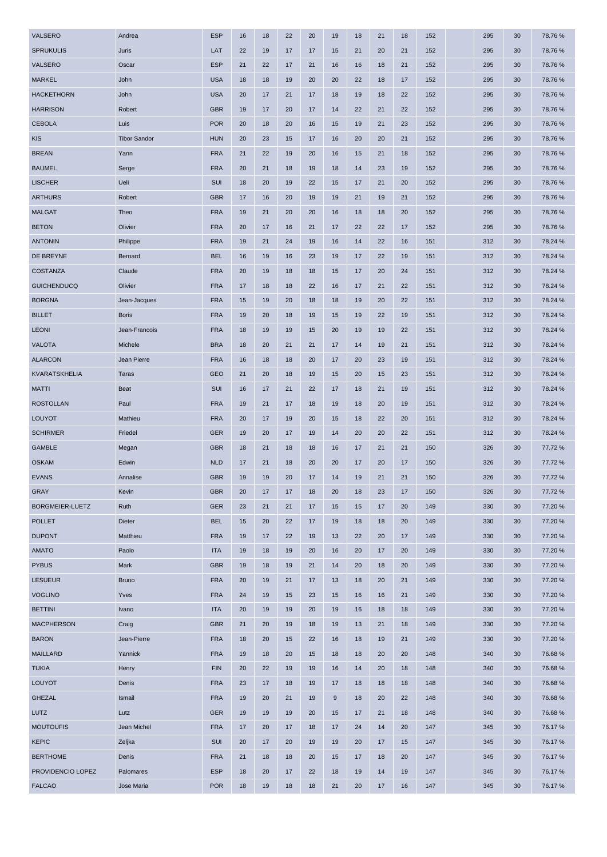| VALSERO            | Andrea              | <b>ESP</b> | 16 | 18 | 22 | 20 | 19               | 18 | 21 | 18 | 152 | 295 | 30 | 78.76%  |
|--------------------|---------------------|------------|----|----|----|----|------------------|----|----|----|-----|-----|----|---------|
| <b>SPRUKULIS</b>   | Juris               | LAT        | 22 | 19 | 17 | 17 | 15               | 21 | 20 | 21 | 152 | 295 | 30 | 78.76%  |
| VALSERO            | Oscar               | <b>ESP</b> | 21 | 22 | 17 | 21 | 16               | 16 | 18 | 21 | 152 | 295 | 30 | 78.76%  |
| <b>MARKEL</b>      | John                | <b>USA</b> | 18 | 18 | 19 | 20 | 20               | 22 | 18 | 17 | 152 | 295 | 30 | 78.76%  |
| <b>HACKETHORN</b>  | John                | <b>USA</b> | 20 | 17 | 21 | 17 | 18               | 19 | 18 | 22 | 152 | 295 | 30 | 78.76%  |
| <b>HARRISON</b>    | Robert              | <b>GBR</b> | 19 | 17 | 20 | 17 | 14               | 22 | 21 | 22 | 152 | 295 | 30 | 78.76 % |
| <b>CEBOLA</b>      | Luis                | <b>POR</b> | 20 | 18 | 20 | 16 | 15               | 19 | 21 | 23 | 152 | 295 | 30 | 78.76 % |
| <b>KIS</b>         | <b>Tibor Sandor</b> | <b>HUN</b> | 20 | 23 | 15 | 17 | 16               | 20 | 20 | 21 | 152 | 295 | 30 | 78.76 % |
| <b>BREAN</b>       | Yann                | <b>FRA</b> | 21 | 22 | 19 | 20 | 16               | 15 | 21 | 18 | 152 | 295 | 30 | 78.76%  |
| <b>BAUMEL</b>      | Serge               | <b>FRA</b> | 20 | 21 | 18 | 19 | 18               | 14 | 23 | 19 | 152 | 295 | 30 | 78.76 % |
| <b>LISCHER</b>     | Ueli                | SUI        | 18 | 20 | 19 | 22 | 15               | 17 | 21 | 20 | 152 | 295 | 30 | 78.76 % |
| <b>ARTHURS</b>     | Robert              | <b>GBR</b> | 17 | 16 | 20 | 19 | 19               | 21 | 19 | 21 | 152 | 295 | 30 | 78.76%  |
| <b>MALGAT</b>      | Theo                | <b>FRA</b> | 19 | 21 | 20 | 20 | 16               | 18 | 18 | 20 | 152 | 295 | 30 | 78.76 % |
| <b>BETON</b>       | Olivier             | <b>FRA</b> | 20 | 17 | 16 | 21 | 17               | 22 | 22 | 17 | 152 | 295 | 30 | 78.76%  |
| <b>ANTONIN</b>     | Philippe            | <b>FRA</b> | 19 | 21 | 24 | 19 | 16               | 14 | 22 | 16 | 151 | 312 | 30 | 78.24 % |
| DE BREYNE          | Bernard             | <b>BEL</b> | 16 | 19 | 16 | 23 | 19               | 17 | 22 | 19 | 151 | 312 | 30 | 78.24 % |
| <b>COSTANZA</b>    | Claude              | <b>FRA</b> | 20 | 19 | 18 | 18 | 15               | 17 | 20 | 24 | 151 | 312 | 30 | 78.24 % |
| <b>GUICHENDUCQ</b> | Olivier             | <b>FRA</b> | 17 | 18 | 18 | 22 | 16               | 17 | 21 | 22 | 151 | 312 | 30 | 78.24 % |
| <b>BORGNA</b>      | Jean-Jacques        | <b>FRA</b> | 15 | 19 | 20 | 18 | 18               | 19 | 20 | 22 | 151 | 312 | 30 | 78.24 % |
| <b>BILLET</b>      | <b>Boris</b>        | <b>FRA</b> | 19 | 20 | 18 | 19 | 15               | 19 | 22 | 19 | 151 | 312 | 30 | 78.24 % |
| <b>LEONI</b>       | Jean-Francois       | <b>FRA</b> | 18 | 19 | 19 | 15 | 20               | 19 | 19 | 22 | 151 | 312 | 30 | 78.24 % |
| <b>VALOTA</b>      | Michele             | <b>BRA</b> | 18 | 20 | 21 | 21 | 17               | 14 | 19 | 21 | 151 | 312 | 30 | 78.24 % |
| <b>ALARCON</b>     | Jean Pierre         | <b>FRA</b> | 16 | 18 | 18 | 20 | 17               | 20 | 23 | 19 | 151 | 312 | 30 | 78.24 % |
| KVARATSKHELIA      | Taras               | <b>GEO</b> | 21 | 20 | 18 | 19 | 15               | 20 | 15 | 23 | 151 | 312 | 30 | 78.24 % |
| <b>MATTI</b>       | <b>Beat</b>         | <b>SUI</b> | 16 | 17 | 21 | 22 | 17               | 18 | 21 | 19 | 151 | 312 | 30 | 78.24 % |
| <b>ROSTOLLAN</b>   | Paul                | <b>FRA</b> | 19 | 21 | 17 | 18 | 19               | 18 | 20 | 19 | 151 | 312 | 30 | 78.24 % |
| LOUYOT             | Mathieu             | <b>FRA</b> | 20 | 17 | 19 | 20 | 15               | 18 | 22 | 20 | 151 | 312 | 30 | 78.24 % |
| <b>SCHIRMER</b>    | Friedel             | <b>GER</b> | 19 | 20 | 17 | 19 | 14               | 20 | 20 | 22 | 151 | 312 | 30 | 78.24 % |
| <b>GAMBLE</b>      | Megan               | <b>GBR</b> | 18 | 21 | 18 | 18 | 16               | 17 | 21 | 21 | 150 | 326 | 30 | 77.72 % |
| <b>OSKAM</b>       | Edwin               | <b>NLD</b> | 17 | 21 | 18 | 20 | 20               | 17 | 20 | 17 | 150 | 326 | 30 | 77.72%  |
| <b>EVANS</b>       | Annalise            | <b>GBR</b> | 19 | 19 | 20 | 17 | 14               | 19 | 21 | 21 | 150 | 326 | 30 | 77.72 % |
| <b>GRAY</b>        | Kevin               | <b>GBR</b> | 20 | 17 | 17 | 18 | 20               | 18 | 23 | 17 | 150 | 326 | 30 | 77.72 % |
| BORGMEIER-LUETZ    | Ruth                | <b>GER</b> | 23 | 21 | 21 | 17 | 15               | 15 | 17 | 20 | 149 | 330 | 30 | 77.20 % |
| <b>POLLET</b>      | Dieter              | <b>BEL</b> | 15 | 20 | 22 | 17 | 19               | 18 | 18 | 20 | 149 | 330 | 30 | 77.20%  |
| <b>DUPONT</b>      | Matthieu            | <b>FRA</b> | 19 | 17 | 22 | 19 | 13               | 22 | 20 | 17 | 149 | 330 | 30 | 77.20 % |
| <b>AMATO</b>       | Paolo               | <b>ITA</b> | 19 | 18 | 19 | 20 | 16               | 20 | 17 | 20 | 149 | 330 | 30 | 77.20 % |
| <b>PYBUS</b>       | Mark                | <b>GBR</b> | 19 | 18 | 19 | 21 | 14               | 20 | 18 | 20 | 149 | 330 | 30 | 77.20 % |
| <b>LESUEUR</b>     | <b>Bruno</b>        | <b>FRA</b> | 20 | 19 | 21 | 17 | 13               | 18 | 20 | 21 | 149 | 330 | 30 | 77.20 % |
| <b>VOGLINO</b>     | Yves                | <b>FRA</b> | 24 | 19 | 15 | 23 | 15               | 16 | 16 | 21 | 149 | 330 | 30 | 77.20 % |
| <b>BETTINI</b>     | Ivano               | <b>ITA</b> | 20 | 19 | 19 | 20 | 19               | 16 | 18 | 18 | 149 | 330 | 30 | 77.20 % |
| <b>MACPHERSON</b>  | Craig               | <b>GBR</b> | 21 | 20 | 19 | 18 | 19               | 13 | 21 | 18 | 149 | 330 | 30 | 77.20 % |
| <b>BARON</b>       | Jean-Pierre         | <b>FRA</b> | 18 | 20 | 15 | 22 | 16               | 18 | 19 | 21 | 149 | 330 | 30 | 77.20 % |
| <b>MAILLARD</b>    | Yannick             | <b>FRA</b> | 19 | 18 | 20 | 15 | 18               | 18 | 20 | 20 | 148 | 340 | 30 | 76.68%  |
| <b>TUKIA</b>       | Henry               | <b>FIN</b> | 20 | 22 | 19 | 19 | 16               | 14 | 20 | 18 | 148 | 340 | 30 | 76.68%  |
| <b>LOUYOT</b>      | Denis               | <b>FRA</b> | 23 | 17 | 18 | 19 | 17               | 18 | 18 | 18 | 148 | 340 | 30 | 76.68%  |
| <b>GHEZAL</b>      | Ismail              | <b>FRA</b> | 19 | 20 | 21 | 19 | $\boldsymbol{9}$ | 18 | 20 | 22 | 148 | 340 | 30 | 76.68%  |
| LUTZ               | Lutz                | <b>GER</b> | 19 | 19 | 19 | 20 | 15               | 17 | 21 | 18 | 148 | 340 | 30 | 76.68%  |
| <b>MOUTOUFIS</b>   | Jean Michel         | <b>FRA</b> | 17 | 20 | 17 | 18 | 17               | 24 | 14 | 20 | 147 | 345 | 30 | 76.17 % |
| <b>KEPIC</b>       | Zeljka              | <b>SUI</b> | 20 | 17 | 20 | 19 | 19               | 20 | 17 | 15 | 147 | 345 | 30 | 76.17 % |
| <b>BERTHOME</b>    | Denis               | <b>FRA</b> | 21 | 18 | 18 | 20 | 15               | 17 | 18 | 20 | 147 | 345 | 30 | 76.17 % |
| PROVIDENCIO LOPEZ  | Palomares           | <b>ESP</b> | 18 | 20 | 17 | 22 | 18               | 19 | 14 | 19 | 147 | 345 | 30 | 76.17 % |
| <b>FALCAO</b>      | Jose Maria          | <b>POR</b> | 18 | 19 | 18 | 18 | 21               | 20 | 17 | 16 | 147 | 345 | 30 | 76.17%  |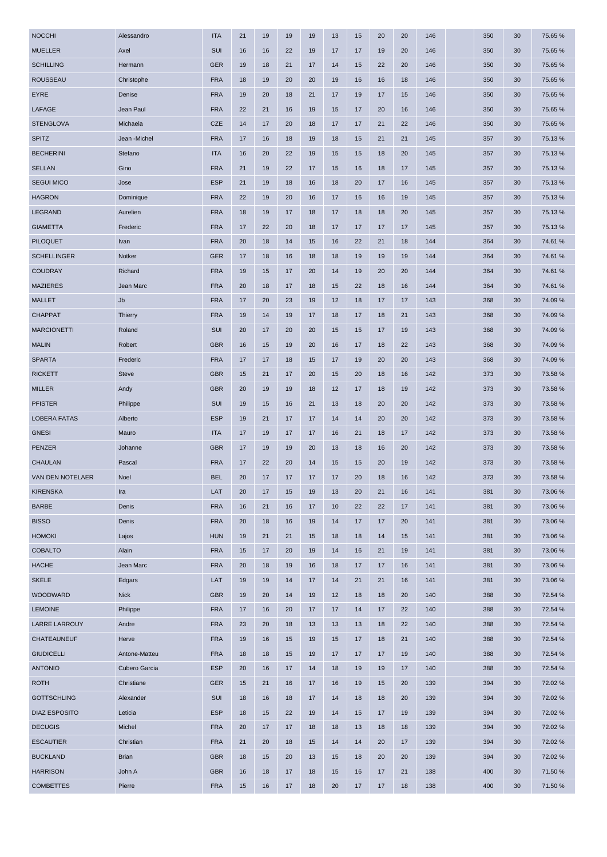| <b>MUELLER</b><br>Axel<br>SUI<br>75.65 %<br>16<br>16<br>22<br>19<br>17<br>17<br>19<br>20<br>146<br>350<br>30<br><b>SCHILLING</b><br>Hermann<br><b>GER</b><br>19<br>18<br>21<br>17<br>14<br>15<br>22<br>20<br>146<br>350<br>30<br>75.65 %<br><b>ROUSSEAU</b><br>Christophe<br><b>FRA</b><br>18<br>19<br>18<br>146<br>75.65 %<br>20<br>20<br>19<br>16<br>16<br>350<br>30<br><b>EYRE</b><br>Denise<br><b>FRA</b><br>21<br>75.65 %<br>19<br>20<br>18<br>17<br>19<br>17<br>15<br>146<br>350<br>30<br>LAFAGE<br>Jean Paul<br><b>FRA</b><br>22<br>21<br>16<br>19<br>15<br>17<br>20<br>16<br>146<br>350<br>30<br>75.65 %<br><b>STENGLOVA</b><br><b>CZE</b><br>75.65 %<br>Michaela<br>14<br>17<br>18<br>22<br>146<br>350<br>30<br>20<br>17<br>17<br>21<br><b>SPITZ</b><br>Jean -Michel<br><b>FRA</b><br>75.13%<br>17<br>16<br>18<br>19<br>18<br>21<br>21<br>145<br>357<br>30<br>15<br><b>BECHERINI</b><br>Stefano<br><b>ITA</b><br>16<br>20<br>22<br>19<br>15<br>15<br>18<br>20<br>145<br>357<br>30<br>75.13 %<br><b>SELLAN</b><br>Gino<br><b>FRA</b><br>75.13%<br>21<br>19<br>22<br>17<br>15<br>16<br>18<br>17<br>145<br>357<br>30<br><b>ESP</b><br><b>SEGUI MICO</b><br>Jose<br>21<br>19<br>18<br>16<br>18<br>20<br>17<br>16<br>145<br>357<br>30<br>75.13 %<br><b>HAGRON</b><br>75.13%<br>Dominique<br><b>FRA</b><br>22<br>19<br>20<br>16<br>17<br>16<br>19<br>145<br>357<br>30<br>16<br>LEGRAND<br><b>FRA</b><br>20<br>Aurelien<br>18<br>19<br>17<br>18<br>18<br>145<br>357<br>30<br>75.13 %<br>17<br>18<br><b>GIAMETTA</b><br>Frederic<br><b>FRA</b><br>75.13%<br>17<br>22<br>20<br>18<br>17<br>17<br>17<br>17<br>145<br>357<br>30<br><b>PILOQUET</b><br><b>FRA</b><br>Ivan<br>20<br>18<br>15<br>16<br>144<br>364<br>30<br>74.61%<br>14<br>22<br>21<br>18<br><b>SCHELLINGER</b><br>Notker<br><b>GER</b><br>17<br>18<br>18<br>19<br>19<br>19<br>144<br>364<br>30<br>74.61 %<br>16<br>18<br><b>COUDRAY</b><br>Richard<br>74.61%<br><b>FRA</b><br>19<br>15<br>17<br>20<br>14<br>19<br>20<br>20<br>144<br>364<br>30<br><b>FRA</b><br><b>MAZIERES</b><br>Jean Marc<br>20<br>17<br>18<br>18<br>144<br>364<br>30<br>74.61 %<br>18<br>15<br>22<br>16<br><b>MALLET</b><br>Jb<br><b>FRA</b><br>74.09%<br>17<br>20<br>23<br>19<br>12<br>18<br>17<br>17<br>143<br>368<br>30<br><b>CHAPPAT</b><br>74.09%<br><b>Thierry</b><br><b>FRA</b><br>19<br>14<br>19<br>17<br>18<br>17<br>18<br>21<br>143<br>368<br>30<br><b>MARCIONETTI</b><br>Roland<br><b>SUI</b><br>20<br>17<br>20<br>19<br>143<br>368<br>74.09%<br>20<br>15<br>15<br>17<br>30<br><b>MALIN</b><br>Robert<br><b>GBR</b><br>74.09%<br>16<br>15<br>19<br>20<br>16<br>17<br>18<br>22<br>143<br>368<br>30<br><b>SPARTA</b><br>Frederic<br><b>FRA</b><br>17<br>17<br>18<br>17<br>19<br>20<br>20<br>143<br>368<br>30<br>74.09%<br>15<br><b>GBR</b><br>73.58 %<br><b>RICKETT</b><br><b>Steve</b><br>15<br>21<br>17<br>20<br>15<br>20<br>18<br>142<br>373<br>30<br>16<br><b>MILLER</b><br><b>GBR</b><br>73.58 %<br>Andy<br>20<br>19<br>19<br>18<br>12<br>17<br>18<br>19<br>142<br>373<br>30<br><b>PFISTER</b><br>Philippe<br>SUI<br>19<br>15<br>16<br>21<br>13<br>18<br>20<br>20<br>142<br>373<br>30<br>73.58 %<br><b>LOBERA FATAS</b><br>Alberto<br><b>ESP</b><br>19<br>21<br>17<br>17<br>14<br>20<br>20<br>142<br>373<br>30<br>73.58 %<br>14<br><b>GNESI</b><br>Mauro<br><b>ITA</b><br>17<br>19<br>17<br>16<br>21<br>18<br>17<br>142<br>373<br>30<br>73.58 %<br>17<br><b>PENZER</b><br><b>GBR</b><br>Johanne<br>17<br>19<br>20<br>20<br>142<br>373<br>30<br>73.58 %<br>19<br>13<br>18<br>16<br><b>CHAULAN</b><br><b>FRA</b><br>22<br>142<br>73.58 %<br>Pascal<br>17<br>20<br>14<br>20<br>19<br>373<br>30<br>15<br>15<br><b>VAN DEN NOTELAER</b><br>Noel<br><b>BEL</b><br>20<br>17<br>17<br>17<br>17<br>20<br>18<br>16<br>142<br>373<br>30<br>73.58 %<br><b>KIRENSKA</b><br>Ira<br>LAT<br>20<br>17<br>13<br>20<br>21<br>141<br>381<br>73.06 %<br>15<br>19<br>16<br>30<br><b>BARBE</b><br>Denis<br><b>FRA</b><br>16<br>21<br>16<br>17<br>10<br>22<br>22<br>17<br>141<br>73.06%<br>381<br>30<br><b>BISSO</b><br>Denis<br><b>FRA</b><br>20<br>19<br>17<br>141<br>73.06%<br>18<br>16<br>14<br>17<br>20<br>381<br>30<br><b>HOMOKI</b><br>Lajos<br><b>HUN</b><br>73.06%<br>19<br>21<br>21<br>15<br>18<br>18<br>14<br>15<br>141<br>381<br>30<br><b>COBALTO</b><br>Alain<br><b>FRA</b><br>15<br>141<br>73.06%<br>17<br>20<br>19<br>14<br>16<br>21<br>19<br>381<br>30<br><b>HACHE</b><br>Jean Marc<br><b>FRA</b><br>20<br>16<br>18<br>141<br>73.06%<br>18<br>19<br>17<br>17<br>16<br>381<br>30<br><b>SKELE</b><br>Edgars<br>LAT<br>19<br>19<br>17<br>14<br>141<br>14<br>21<br>21<br>16<br>381<br>30<br>73.06 %<br>WOODWARD<br><b>Nick</b><br><b>GBR</b><br>19<br>20<br>140<br>388<br>72.54 %<br>19<br>20<br>14<br>12<br>18<br>18<br>30<br><b>LEMOINE</b><br>Philippe<br><b>FRA</b><br>22<br>140<br>17<br>16<br>20<br>17<br>17<br>14<br>17<br>388<br>30<br>72.54 %<br><b>LARRE LARROUY</b><br>Andre<br><b>FRA</b><br>23<br>20<br>13<br>13<br>13<br>18<br>22<br>140<br>388<br>72.54 %<br>18<br>30<br>CHATEAUNEUF<br>Herve<br><b>FRA</b><br>19<br>19<br>15<br>18<br>21<br>140<br>388<br>30<br>72.54 %<br>16<br>15<br>17<br><b>GIUDICELLI</b><br>Antone-Matteu<br><b>FRA</b><br>140<br>18<br>18<br>15<br>19<br>17<br>17<br>17<br>19<br>388<br>30<br>72.54 %<br><b>ANTONIO</b><br>Cubero Garcia<br><b>ESP</b><br>20<br>17<br>14<br>18<br>19<br>19<br>140<br>388<br>72.54 %<br>16<br>17<br>30<br><b>ROTH</b><br>Christiane<br><b>GER</b><br>72.02 %<br>15<br>21<br>16<br>17<br>16<br>19<br>15<br>20<br>139<br>394<br>30<br><b>GOTTSCHLING</b><br>Alexander<br>SUI<br>18<br>139<br>72.02 %<br>16<br>18<br>17<br>14<br>18<br>18<br>20<br>394<br>30<br><b>DIAZ ESPOSITO</b><br>Leticia<br><b>ESP</b><br>18<br>22<br>19<br>14<br>19<br>139<br>394<br>30<br>72.02 %<br>15<br>15<br>17<br><b>DECUGIS</b><br>Michel<br><b>FRA</b><br>72.02 %<br>20<br>17<br>17<br>18<br>18<br>13<br>18<br>18<br>139<br>394<br>30<br><b>ESCAUTIER</b><br>Christian<br><b>FRA</b><br>21<br>14<br>72.02 %<br>20<br>18<br>15<br>14<br>20<br>17<br>139<br>394<br>30<br><b>BUCKLAND</b><br><b>Brian</b><br><b>GBR</b><br>18<br>20<br>139<br>394<br>72.02 %<br>15<br>20<br>13<br>15<br>18<br>20<br>30<br><b>HARRISON</b><br>John A<br><b>GBR</b><br>71.50 %<br>16<br>18<br>17<br>18<br>15<br>16<br>17<br>21<br>138<br>400<br>30<br><b>COMBETTES</b><br>Pierre<br><b>FRA</b><br>18<br>20<br>17<br>18<br>138<br>400<br>30<br>71.50 %<br>15<br>16<br>17<br>17 | <b>NOCCHI</b> | Alessandro | <b>ITA</b> | 21 | 19 | 19 | 19 | 13 | 15 | 20 | 20 | 146 | 350 | 30 | 75.65 % |
|-----------------------------------------------------------------------------------------------------------------------------------------------------------------------------------------------------------------------------------------------------------------------------------------------------------------------------------------------------------------------------------------------------------------------------------------------------------------------------------------------------------------------------------------------------------------------------------------------------------------------------------------------------------------------------------------------------------------------------------------------------------------------------------------------------------------------------------------------------------------------------------------------------------------------------------------------------------------------------------------------------------------------------------------------------------------------------------------------------------------------------------------------------------------------------------------------------------------------------------------------------------------------------------------------------------------------------------------------------------------------------------------------------------------------------------------------------------------------------------------------------------------------------------------------------------------------------------------------------------------------------------------------------------------------------------------------------------------------------------------------------------------------------------------------------------------------------------------------------------------------------------------------------------------------------------------------------------------------------------------------------------------------------------------------------------------------------------------------------------------------------------------------------------------------------------------------------------------------------------------------------------------------------------------------------------------------------------------------------------------------------------------------------------------------------------------------------------------------------------------------------------------------------------------------------------------------------------------------------------------------------------------------------------------------------------------------------------------------------------------------------------------------------------------------------------------------------------------------------------------------------------------------------------------------------------------------------------------------------------------------------------------------------------------------------------------------------------------------------------------------------------------------------------------------------------------------------------------------------------------------------------------------------------------------------------------------------------------------------------------------------------------------------------------------------------------------------------------------------------------------------------------------------------------------------------------------------------------------------------------------------------------------------------------------------------------------------------------------------------------------------------------------------------------------------------------------------------------------------------------------------------------------------------------------------------------------------------------------------------------------------------------------------------------------------------------------------------------------------------------------------------------------------------------------------------------------------------------------------------------------------------------------------------------------------------------------------------------------------------------------------------------------------------------------------------------------------------------------------------------------------------------------------------------------------------------------------------------------------------------------------------------------------------------------------------------------------------------------------------------------------------------------------------------------------------------------------------------------------------------------------------------------------------------------------------------------------------------------------------------------------------------------------------------------------------------------------------------------------------------------------------------------------------------------------------------------------------------------------------------------------------------------------------------------------------------------------------------------------------------------------------------------------------------------------------------------------------------------------------------------------------------------------------------------------------------------------------------------------------------------------------------------------------------------------------------------------------------------------------------------------------------------------------------------------------------------------------------------------------------------------------------------------------------------------------------------------------------------------------------------------------------------------------------------------------------------------------------------------------------------------------------------------------------------------------------------------------------------------------------------------------------------------------------------------------------------------------------------------------------------------------------------------------------------------------------------|---------------|------------|------------|----|----|----|----|----|----|----|----|-----|-----|----|---------|
|                                                                                                                                                                                                                                                                                                                                                                                                                                                                                                                                                                                                                                                                                                                                                                                                                                                                                                                                                                                                                                                                                                                                                                                                                                                                                                                                                                                                                                                                                                                                                                                                                                                                                                                                                                                                                                                                                                                                                                                                                                                                                                                                                                                                                                                                                                                                                                                                                                                                                                                                                                                                                                                                                                                                                                                                                                                                                                                                                                                                                                                                                                                                                                                                                                                                                                                                                                                                                                                                                                                                                                                                                                                                                                                                                                                                                                                                                                                                                                                                                                                                                                                                                                                                                                                                                                                                                                                                                                                                                                                                                                                                                                                                                                                                                                                                                                                                                                                                                                                                                                                                                                                                                                                                                                                                                                                                                                                                                                                                                                                                                                                                                                                                                                                                                                                                                                                                                                                                                                                                                                                                                                                                                                                                                                                                                                                                                                                                                                               |               |            |            |    |    |    |    |    |    |    |    |     |     |    |         |
|                                                                                                                                                                                                                                                                                                                                                                                                                                                                                                                                                                                                                                                                                                                                                                                                                                                                                                                                                                                                                                                                                                                                                                                                                                                                                                                                                                                                                                                                                                                                                                                                                                                                                                                                                                                                                                                                                                                                                                                                                                                                                                                                                                                                                                                                                                                                                                                                                                                                                                                                                                                                                                                                                                                                                                                                                                                                                                                                                                                                                                                                                                                                                                                                                                                                                                                                                                                                                                                                                                                                                                                                                                                                                                                                                                                                                                                                                                                                                                                                                                                                                                                                                                                                                                                                                                                                                                                                                                                                                                                                                                                                                                                                                                                                                                                                                                                                                                                                                                                                                                                                                                                                                                                                                                                                                                                                                                                                                                                                                                                                                                                                                                                                                                                                                                                                                                                                                                                                                                                                                                                                                                                                                                                                                                                                                                                                                                                                                                               |               |            |            |    |    |    |    |    |    |    |    |     |     |    |         |
|                                                                                                                                                                                                                                                                                                                                                                                                                                                                                                                                                                                                                                                                                                                                                                                                                                                                                                                                                                                                                                                                                                                                                                                                                                                                                                                                                                                                                                                                                                                                                                                                                                                                                                                                                                                                                                                                                                                                                                                                                                                                                                                                                                                                                                                                                                                                                                                                                                                                                                                                                                                                                                                                                                                                                                                                                                                                                                                                                                                                                                                                                                                                                                                                                                                                                                                                                                                                                                                                                                                                                                                                                                                                                                                                                                                                                                                                                                                                                                                                                                                                                                                                                                                                                                                                                                                                                                                                                                                                                                                                                                                                                                                                                                                                                                                                                                                                                                                                                                                                                                                                                                                                                                                                                                                                                                                                                                                                                                                                                                                                                                                                                                                                                                                                                                                                                                                                                                                                                                                                                                                                                                                                                                                                                                                                                                                                                                                                                                               |               |            |            |    |    |    |    |    |    |    |    |     |     |    |         |
|                                                                                                                                                                                                                                                                                                                                                                                                                                                                                                                                                                                                                                                                                                                                                                                                                                                                                                                                                                                                                                                                                                                                                                                                                                                                                                                                                                                                                                                                                                                                                                                                                                                                                                                                                                                                                                                                                                                                                                                                                                                                                                                                                                                                                                                                                                                                                                                                                                                                                                                                                                                                                                                                                                                                                                                                                                                                                                                                                                                                                                                                                                                                                                                                                                                                                                                                                                                                                                                                                                                                                                                                                                                                                                                                                                                                                                                                                                                                                                                                                                                                                                                                                                                                                                                                                                                                                                                                                                                                                                                                                                                                                                                                                                                                                                                                                                                                                                                                                                                                                                                                                                                                                                                                                                                                                                                                                                                                                                                                                                                                                                                                                                                                                                                                                                                                                                                                                                                                                                                                                                                                                                                                                                                                                                                                                                                                                                                                                                               |               |            |            |    |    |    |    |    |    |    |    |     |     |    |         |
|                                                                                                                                                                                                                                                                                                                                                                                                                                                                                                                                                                                                                                                                                                                                                                                                                                                                                                                                                                                                                                                                                                                                                                                                                                                                                                                                                                                                                                                                                                                                                                                                                                                                                                                                                                                                                                                                                                                                                                                                                                                                                                                                                                                                                                                                                                                                                                                                                                                                                                                                                                                                                                                                                                                                                                                                                                                                                                                                                                                                                                                                                                                                                                                                                                                                                                                                                                                                                                                                                                                                                                                                                                                                                                                                                                                                                                                                                                                                                                                                                                                                                                                                                                                                                                                                                                                                                                                                                                                                                                                                                                                                                                                                                                                                                                                                                                                                                                                                                                                                                                                                                                                                                                                                                                                                                                                                                                                                                                                                                                                                                                                                                                                                                                                                                                                                                                                                                                                                                                                                                                                                                                                                                                                                                                                                                                                                                                                                                                               |               |            |            |    |    |    |    |    |    |    |    |     |     |    |         |
|                                                                                                                                                                                                                                                                                                                                                                                                                                                                                                                                                                                                                                                                                                                                                                                                                                                                                                                                                                                                                                                                                                                                                                                                                                                                                                                                                                                                                                                                                                                                                                                                                                                                                                                                                                                                                                                                                                                                                                                                                                                                                                                                                                                                                                                                                                                                                                                                                                                                                                                                                                                                                                                                                                                                                                                                                                                                                                                                                                                                                                                                                                                                                                                                                                                                                                                                                                                                                                                                                                                                                                                                                                                                                                                                                                                                                                                                                                                                                                                                                                                                                                                                                                                                                                                                                                                                                                                                                                                                                                                                                                                                                                                                                                                                                                                                                                                                                                                                                                                                                                                                                                                                                                                                                                                                                                                                                                                                                                                                                                                                                                                                                                                                                                                                                                                                                                                                                                                                                                                                                                                                                                                                                                                                                                                                                                                                                                                                                                               |               |            |            |    |    |    |    |    |    |    |    |     |     |    |         |
|                                                                                                                                                                                                                                                                                                                                                                                                                                                                                                                                                                                                                                                                                                                                                                                                                                                                                                                                                                                                                                                                                                                                                                                                                                                                                                                                                                                                                                                                                                                                                                                                                                                                                                                                                                                                                                                                                                                                                                                                                                                                                                                                                                                                                                                                                                                                                                                                                                                                                                                                                                                                                                                                                                                                                                                                                                                                                                                                                                                                                                                                                                                                                                                                                                                                                                                                                                                                                                                                                                                                                                                                                                                                                                                                                                                                                                                                                                                                                                                                                                                                                                                                                                                                                                                                                                                                                                                                                                                                                                                                                                                                                                                                                                                                                                                                                                                                                                                                                                                                                                                                                                                                                                                                                                                                                                                                                                                                                                                                                                                                                                                                                                                                                                                                                                                                                                                                                                                                                                                                                                                                                                                                                                                                                                                                                                                                                                                                                                               |               |            |            |    |    |    |    |    |    |    |    |     |     |    |         |
|                                                                                                                                                                                                                                                                                                                                                                                                                                                                                                                                                                                                                                                                                                                                                                                                                                                                                                                                                                                                                                                                                                                                                                                                                                                                                                                                                                                                                                                                                                                                                                                                                                                                                                                                                                                                                                                                                                                                                                                                                                                                                                                                                                                                                                                                                                                                                                                                                                                                                                                                                                                                                                                                                                                                                                                                                                                                                                                                                                                                                                                                                                                                                                                                                                                                                                                                                                                                                                                                                                                                                                                                                                                                                                                                                                                                                                                                                                                                                                                                                                                                                                                                                                                                                                                                                                                                                                                                                                                                                                                                                                                                                                                                                                                                                                                                                                                                                                                                                                                                                                                                                                                                                                                                                                                                                                                                                                                                                                                                                                                                                                                                                                                                                                                                                                                                                                                                                                                                                                                                                                                                                                                                                                                                                                                                                                                                                                                                                                               |               |            |            |    |    |    |    |    |    |    |    |     |     |    |         |
|                                                                                                                                                                                                                                                                                                                                                                                                                                                                                                                                                                                                                                                                                                                                                                                                                                                                                                                                                                                                                                                                                                                                                                                                                                                                                                                                                                                                                                                                                                                                                                                                                                                                                                                                                                                                                                                                                                                                                                                                                                                                                                                                                                                                                                                                                                                                                                                                                                                                                                                                                                                                                                                                                                                                                                                                                                                                                                                                                                                                                                                                                                                                                                                                                                                                                                                                                                                                                                                                                                                                                                                                                                                                                                                                                                                                                                                                                                                                                                                                                                                                                                                                                                                                                                                                                                                                                                                                                                                                                                                                                                                                                                                                                                                                                                                                                                                                                                                                                                                                                                                                                                                                                                                                                                                                                                                                                                                                                                                                                                                                                                                                                                                                                                                                                                                                                                                                                                                                                                                                                                                                                                                                                                                                                                                                                                                                                                                                                                               |               |            |            |    |    |    |    |    |    |    |    |     |     |    |         |
|                                                                                                                                                                                                                                                                                                                                                                                                                                                                                                                                                                                                                                                                                                                                                                                                                                                                                                                                                                                                                                                                                                                                                                                                                                                                                                                                                                                                                                                                                                                                                                                                                                                                                                                                                                                                                                                                                                                                                                                                                                                                                                                                                                                                                                                                                                                                                                                                                                                                                                                                                                                                                                                                                                                                                                                                                                                                                                                                                                                                                                                                                                                                                                                                                                                                                                                                                                                                                                                                                                                                                                                                                                                                                                                                                                                                                                                                                                                                                                                                                                                                                                                                                                                                                                                                                                                                                                                                                                                                                                                                                                                                                                                                                                                                                                                                                                                                                                                                                                                                                                                                                                                                                                                                                                                                                                                                                                                                                                                                                                                                                                                                                                                                                                                                                                                                                                                                                                                                                                                                                                                                                                                                                                                                                                                                                                                                                                                                                                               |               |            |            |    |    |    |    |    |    |    |    |     |     |    |         |
|                                                                                                                                                                                                                                                                                                                                                                                                                                                                                                                                                                                                                                                                                                                                                                                                                                                                                                                                                                                                                                                                                                                                                                                                                                                                                                                                                                                                                                                                                                                                                                                                                                                                                                                                                                                                                                                                                                                                                                                                                                                                                                                                                                                                                                                                                                                                                                                                                                                                                                                                                                                                                                                                                                                                                                                                                                                                                                                                                                                                                                                                                                                                                                                                                                                                                                                                                                                                                                                                                                                                                                                                                                                                                                                                                                                                                                                                                                                                                                                                                                                                                                                                                                                                                                                                                                                                                                                                                                                                                                                                                                                                                                                                                                                                                                                                                                                                                                                                                                                                                                                                                                                                                                                                                                                                                                                                                                                                                                                                                                                                                                                                                                                                                                                                                                                                                                                                                                                                                                                                                                                                                                                                                                                                                                                                                                                                                                                                                                               |               |            |            |    |    |    |    |    |    |    |    |     |     |    |         |
|                                                                                                                                                                                                                                                                                                                                                                                                                                                                                                                                                                                                                                                                                                                                                                                                                                                                                                                                                                                                                                                                                                                                                                                                                                                                                                                                                                                                                                                                                                                                                                                                                                                                                                                                                                                                                                                                                                                                                                                                                                                                                                                                                                                                                                                                                                                                                                                                                                                                                                                                                                                                                                                                                                                                                                                                                                                                                                                                                                                                                                                                                                                                                                                                                                                                                                                                                                                                                                                                                                                                                                                                                                                                                                                                                                                                                                                                                                                                                                                                                                                                                                                                                                                                                                                                                                                                                                                                                                                                                                                                                                                                                                                                                                                                                                                                                                                                                                                                                                                                                                                                                                                                                                                                                                                                                                                                                                                                                                                                                                                                                                                                                                                                                                                                                                                                                                                                                                                                                                                                                                                                                                                                                                                                                                                                                                                                                                                                                                               |               |            |            |    |    |    |    |    |    |    |    |     |     |    |         |
|                                                                                                                                                                                                                                                                                                                                                                                                                                                                                                                                                                                                                                                                                                                                                                                                                                                                                                                                                                                                                                                                                                                                                                                                                                                                                                                                                                                                                                                                                                                                                                                                                                                                                                                                                                                                                                                                                                                                                                                                                                                                                                                                                                                                                                                                                                                                                                                                                                                                                                                                                                                                                                                                                                                                                                                                                                                                                                                                                                                                                                                                                                                                                                                                                                                                                                                                                                                                                                                                                                                                                                                                                                                                                                                                                                                                                                                                                                                                                                                                                                                                                                                                                                                                                                                                                                                                                                                                                                                                                                                                                                                                                                                                                                                                                                                                                                                                                                                                                                                                                                                                                                                                                                                                                                                                                                                                                                                                                                                                                                                                                                                                                                                                                                                                                                                                                                                                                                                                                                                                                                                                                                                                                                                                                                                                                                                                                                                                                                               |               |            |            |    |    |    |    |    |    |    |    |     |     |    |         |
|                                                                                                                                                                                                                                                                                                                                                                                                                                                                                                                                                                                                                                                                                                                                                                                                                                                                                                                                                                                                                                                                                                                                                                                                                                                                                                                                                                                                                                                                                                                                                                                                                                                                                                                                                                                                                                                                                                                                                                                                                                                                                                                                                                                                                                                                                                                                                                                                                                                                                                                                                                                                                                                                                                                                                                                                                                                                                                                                                                                                                                                                                                                                                                                                                                                                                                                                                                                                                                                                                                                                                                                                                                                                                                                                                                                                                                                                                                                                                                                                                                                                                                                                                                                                                                                                                                                                                                                                                                                                                                                                                                                                                                                                                                                                                                                                                                                                                                                                                                                                                                                                                                                                                                                                                                                                                                                                                                                                                                                                                                                                                                                                                                                                                                                                                                                                                                                                                                                                                                                                                                                                                                                                                                                                                                                                                                                                                                                                                                               |               |            |            |    |    |    |    |    |    |    |    |     |     |    |         |
|                                                                                                                                                                                                                                                                                                                                                                                                                                                                                                                                                                                                                                                                                                                                                                                                                                                                                                                                                                                                                                                                                                                                                                                                                                                                                                                                                                                                                                                                                                                                                                                                                                                                                                                                                                                                                                                                                                                                                                                                                                                                                                                                                                                                                                                                                                                                                                                                                                                                                                                                                                                                                                                                                                                                                                                                                                                                                                                                                                                                                                                                                                                                                                                                                                                                                                                                                                                                                                                                                                                                                                                                                                                                                                                                                                                                                                                                                                                                                                                                                                                                                                                                                                                                                                                                                                                                                                                                                                                                                                                                                                                                                                                                                                                                                                                                                                                                                                                                                                                                                                                                                                                                                                                                                                                                                                                                                                                                                                                                                                                                                                                                                                                                                                                                                                                                                                                                                                                                                                                                                                                                                                                                                                                                                                                                                                                                                                                                                                               |               |            |            |    |    |    |    |    |    |    |    |     |     |    |         |
|                                                                                                                                                                                                                                                                                                                                                                                                                                                                                                                                                                                                                                                                                                                                                                                                                                                                                                                                                                                                                                                                                                                                                                                                                                                                                                                                                                                                                                                                                                                                                                                                                                                                                                                                                                                                                                                                                                                                                                                                                                                                                                                                                                                                                                                                                                                                                                                                                                                                                                                                                                                                                                                                                                                                                                                                                                                                                                                                                                                                                                                                                                                                                                                                                                                                                                                                                                                                                                                                                                                                                                                                                                                                                                                                                                                                                                                                                                                                                                                                                                                                                                                                                                                                                                                                                                                                                                                                                                                                                                                                                                                                                                                                                                                                                                                                                                                                                                                                                                                                                                                                                                                                                                                                                                                                                                                                                                                                                                                                                                                                                                                                                                                                                                                                                                                                                                                                                                                                                                                                                                                                                                                                                                                                                                                                                                                                                                                                                                               |               |            |            |    |    |    |    |    |    |    |    |     |     |    |         |
|                                                                                                                                                                                                                                                                                                                                                                                                                                                                                                                                                                                                                                                                                                                                                                                                                                                                                                                                                                                                                                                                                                                                                                                                                                                                                                                                                                                                                                                                                                                                                                                                                                                                                                                                                                                                                                                                                                                                                                                                                                                                                                                                                                                                                                                                                                                                                                                                                                                                                                                                                                                                                                                                                                                                                                                                                                                                                                                                                                                                                                                                                                                                                                                                                                                                                                                                                                                                                                                                                                                                                                                                                                                                                                                                                                                                                                                                                                                                                                                                                                                                                                                                                                                                                                                                                                                                                                                                                                                                                                                                                                                                                                                                                                                                                                                                                                                                                                                                                                                                                                                                                                                                                                                                                                                                                                                                                                                                                                                                                                                                                                                                                                                                                                                                                                                                                                                                                                                                                                                                                                                                                                                                                                                                                                                                                                                                                                                                                                               |               |            |            |    |    |    |    |    |    |    |    |     |     |    |         |
|                                                                                                                                                                                                                                                                                                                                                                                                                                                                                                                                                                                                                                                                                                                                                                                                                                                                                                                                                                                                                                                                                                                                                                                                                                                                                                                                                                                                                                                                                                                                                                                                                                                                                                                                                                                                                                                                                                                                                                                                                                                                                                                                                                                                                                                                                                                                                                                                                                                                                                                                                                                                                                                                                                                                                                                                                                                                                                                                                                                                                                                                                                                                                                                                                                                                                                                                                                                                                                                                                                                                                                                                                                                                                                                                                                                                                                                                                                                                                                                                                                                                                                                                                                                                                                                                                                                                                                                                                                                                                                                                                                                                                                                                                                                                                                                                                                                                                                                                                                                                                                                                                                                                                                                                                                                                                                                                                                                                                                                                                                                                                                                                                                                                                                                                                                                                                                                                                                                                                                                                                                                                                                                                                                                                                                                                                                                                                                                                                                               |               |            |            |    |    |    |    |    |    |    |    |     |     |    |         |
|                                                                                                                                                                                                                                                                                                                                                                                                                                                                                                                                                                                                                                                                                                                                                                                                                                                                                                                                                                                                                                                                                                                                                                                                                                                                                                                                                                                                                                                                                                                                                                                                                                                                                                                                                                                                                                                                                                                                                                                                                                                                                                                                                                                                                                                                                                                                                                                                                                                                                                                                                                                                                                                                                                                                                                                                                                                                                                                                                                                                                                                                                                                                                                                                                                                                                                                                                                                                                                                                                                                                                                                                                                                                                                                                                                                                                                                                                                                                                                                                                                                                                                                                                                                                                                                                                                                                                                                                                                                                                                                                                                                                                                                                                                                                                                                                                                                                                                                                                                                                                                                                                                                                                                                                                                                                                                                                                                                                                                                                                                                                                                                                                                                                                                                                                                                                                                                                                                                                                                                                                                                                                                                                                                                                                                                                                                                                                                                                                                               |               |            |            |    |    |    |    |    |    |    |    |     |     |    |         |
|                                                                                                                                                                                                                                                                                                                                                                                                                                                                                                                                                                                                                                                                                                                                                                                                                                                                                                                                                                                                                                                                                                                                                                                                                                                                                                                                                                                                                                                                                                                                                                                                                                                                                                                                                                                                                                                                                                                                                                                                                                                                                                                                                                                                                                                                                                                                                                                                                                                                                                                                                                                                                                                                                                                                                                                                                                                                                                                                                                                                                                                                                                                                                                                                                                                                                                                                                                                                                                                                                                                                                                                                                                                                                                                                                                                                                                                                                                                                                                                                                                                                                                                                                                                                                                                                                                                                                                                                                                                                                                                                                                                                                                                                                                                                                                                                                                                                                                                                                                                                                                                                                                                                                                                                                                                                                                                                                                                                                                                                                                                                                                                                                                                                                                                                                                                                                                                                                                                                                                                                                                                                                                                                                                                                                                                                                                                                                                                                                                               |               |            |            |    |    |    |    |    |    |    |    |     |     |    |         |
|                                                                                                                                                                                                                                                                                                                                                                                                                                                                                                                                                                                                                                                                                                                                                                                                                                                                                                                                                                                                                                                                                                                                                                                                                                                                                                                                                                                                                                                                                                                                                                                                                                                                                                                                                                                                                                                                                                                                                                                                                                                                                                                                                                                                                                                                                                                                                                                                                                                                                                                                                                                                                                                                                                                                                                                                                                                                                                                                                                                                                                                                                                                                                                                                                                                                                                                                                                                                                                                                                                                                                                                                                                                                                                                                                                                                                                                                                                                                                                                                                                                                                                                                                                                                                                                                                                                                                                                                                                                                                                                                                                                                                                                                                                                                                                                                                                                                                                                                                                                                                                                                                                                                                                                                                                                                                                                                                                                                                                                                                                                                                                                                                                                                                                                                                                                                                                                                                                                                                                                                                                                                                                                                                                                                                                                                                                                                                                                                                                               |               |            |            |    |    |    |    |    |    |    |    |     |     |    |         |
|                                                                                                                                                                                                                                                                                                                                                                                                                                                                                                                                                                                                                                                                                                                                                                                                                                                                                                                                                                                                                                                                                                                                                                                                                                                                                                                                                                                                                                                                                                                                                                                                                                                                                                                                                                                                                                                                                                                                                                                                                                                                                                                                                                                                                                                                                                                                                                                                                                                                                                                                                                                                                                                                                                                                                                                                                                                                                                                                                                                                                                                                                                                                                                                                                                                                                                                                                                                                                                                                                                                                                                                                                                                                                                                                                                                                                                                                                                                                                                                                                                                                                                                                                                                                                                                                                                                                                                                                                                                                                                                                                                                                                                                                                                                                                                                                                                                                                                                                                                                                                                                                                                                                                                                                                                                                                                                                                                                                                                                                                                                                                                                                                                                                                                                                                                                                                                                                                                                                                                                                                                                                                                                                                                                                                                                                                                                                                                                                                                               |               |            |            |    |    |    |    |    |    |    |    |     |     |    |         |
|                                                                                                                                                                                                                                                                                                                                                                                                                                                                                                                                                                                                                                                                                                                                                                                                                                                                                                                                                                                                                                                                                                                                                                                                                                                                                                                                                                                                                                                                                                                                                                                                                                                                                                                                                                                                                                                                                                                                                                                                                                                                                                                                                                                                                                                                                                                                                                                                                                                                                                                                                                                                                                                                                                                                                                                                                                                                                                                                                                                                                                                                                                                                                                                                                                                                                                                                                                                                                                                                                                                                                                                                                                                                                                                                                                                                                                                                                                                                                                                                                                                                                                                                                                                                                                                                                                                                                                                                                                                                                                                                                                                                                                                                                                                                                                                                                                                                                                                                                                                                                                                                                                                                                                                                                                                                                                                                                                                                                                                                                                                                                                                                                                                                                                                                                                                                                                                                                                                                                                                                                                                                                                                                                                                                                                                                                                                                                                                                                                               |               |            |            |    |    |    |    |    |    |    |    |     |     |    |         |
|                                                                                                                                                                                                                                                                                                                                                                                                                                                                                                                                                                                                                                                                                                                                                                                                                                                                                                                                                                                                                                                                                                                                                                                                                                                                                                                                                                                                                                                                                                                                                                                                                                                                                                                                                                                                                                                                                                                                                                                                                                                                                                                                                                                                                                                                                                                                                                                                                                                                                                                                                                                                                                                                                                                                                                                                                                                                                                                                                                                                                                                                                                                                                                                                                                                                                                                                                                                                                                                                                                                                                                                                                                                                                                                                                                                                                                                                                                                                                                                                                                                                                                                                                                                                                                                                                                                                                                                                                                                                                                                                                                                                                                                                                                                                                                                                                                                                                                                                                                                                                                                                                                                                                                                                                                                                                                                                                                                                                                                                                                                                                                                                                                                                                                                                                                                                                                                                                                                                                                                                                                                                                                                                                                                                                                                                                                                                                                                                                                               |               |            |            |    |    |    |    |    |    |    |    |     |     |    |         |
|                                                                                                                                                                                                                                                                                                                                                                                                                                                                                                                                                                                                                                                                                                                                                                                                                                                                                                                                                                                                                                                                                                                                                                                                                                                                                                                                                                                                                                                                                                                                                                                                                                                                                                                                                                                                                                                                                                                                                                                                                                                                                                                                                                                                                                                                                                                                                                                                                                                                                                                                                                                                                                                                                                                                                                                                                                                                                                                                                                                                                                                                                                                                                                                                                                                                                                                                                                                                                                                                                                                                                                                                                                                                                                                                                                                                                                                                                                                                                                                                                                                                                                                                                                                                                                                                                                                                                                                                                                                                                                                                                                                                                                                                                                                                                                                                                                                                                                                                                                                                                                                                                                                                                                                                                                                                                                                                                                                                                                                                                                                                                                                                                                                                                                                                                                                                                                                                                                                                                                                                                                                                                                                                                                                                                                                                                                                                                                                                                                               |               |            |            |    |    |    |    |    |    |    |    |     |     |    |         |
|                                                                                                                                                                                                                                                                                                                                                                                                                                                                                                                                                                                                                                                                                                                                                                                                                                                                                                                                                                                                                                                                                                                                                                                                                                                                                                                                                                                                                                                                                                                                                                                                                                                                                                                                                                                                                                                                                                                                                                                                                                                                                                                                                                                                                                                                                                                                                                                                                                                                                                                                                                                                                                                                                                                                                                                                                                                                                                                                                                                                                                                                                                                                                                                                                                                                                                                                                                                                                                                                                                                                                                                                                                                                                                                                                                                                                                                                                                                                                                                                                                                                                                                                                                                                                                                                                                                                                                                                                                                                                                                                                                                                                                                                                                                                                                                                                                                                                                                                                                                                                                                                                                                                                                                                                                                                                                                                                                                                                                                                                                                                                                                                                                                                                                                                                                                                                                                                                                                                                                                                                                                                                                                                                                                                                                                                                                                                                                                                                                               |               |            |            |    |    |    |    |    |    |    |    |     |     |    |         |
|                                                                                                                                                                                                                                                                                                                                                                                                                                                                                                                                                                                                                                                                                                                                                                                                                                                                                                                                                                                                                                                                                                                                                                                                                                                                                                                                                                                                                                                                                                                                                                                                                                                                                                                                                                                                                                                                                                                                                                                                                                                                                                                                                                                                                                                                                                                                                                                                                                                                                                                                                                                                                                                                                                                                                                                                                                                                                                                                                                                                                                                                                                                                                                                                                                                                                                                                                                                                                                                                                                                                                                                                                                                                                                                                                                                                                                                                                                                                                                                                                                                                                                                                                                                                                                                                                                                                                                                                                                                                                                                                                                                                                                                                                                                                                                                                                                                                                                                                                                                                                                                                                                                                                                                                                                                                                                                                                                                                                                                                                                                                                                                                                                                                                                                                                                                                                                                                                                                                                                                                                                                                                                                                                                                                                                                                                                                                                                                                                                               |               |            |            |    |    |    |    |    |    |    |    |     |     |    |         |
|                                                                                                                                                                                                                                                                                                                                                                                                                                                                                                                                                                                                                                                                                                                                                                                                                                                                                                                                                                                                                                                                                                                                                                                                                                                                                                                                                                                                                                                                                                                                                                                                                                                                                                                                                                                                                                                                                                                                                                                                                                                                                                                                                                                                                                                                                                                                                                                                                                                                                                                                                                                                                                                                                                                                                                                                                                                                                                                                                                                                                                                                                                                                                                                                                                                                                                                                                                                                                                                                                                                                                                                                                                                                                                                                                                                                                                                                                                                                                                                                                                                                                                                                                                                                                                                                                                                                                                                                                                                                                                                                                                                                                                                                                                                                                                                                                                                                                                                                                                                                                                                                                                                                                                                                                                                                                                                                                                                                                                                                                                                                                                                                                                                                                                                                                                                                                                                                                                                                                                                                                                                                                                                                                                                                                                                                                                                                                                                                                                               |               |            |            |    |    |    |    |    |    |    |    |     |     |    |         |
|                                                                                                                                                                                                                                                                                                                                                                                                                                                                                                                                                                                                                                                                                                                                                                                                                                                                                                                                                                                                                                                                                                                                                                                                                                                                                                                                                                                                                                                                                                                                                                                                                                                                                                                                                                                                                                                                                                                                                                                                                                                                                                                                                                                                                                                                                                                                                                                                                                                                                                                                                                                                                                                                                                                                                                                                                                                                                                                                                                                                                                                                                                                                                                                                                                                                                                                                                                                                                                                                                                                                                                                                                                                                                                                                                                                                                                                                                                                                                                                                                                                                                                                                                                                                                                                                                                                                                                                                                                                                                                                                                                                                                                                                                                                                                                                                                                                                                                                                                                                                                                                                                                                                                                                                                                                                                                                                                                                                                                                                                                                                                                                                                                                                                                                                                                                                                                                                                                                                                                                                                                                                                                                                                                                                                                                                                                                                                                                                                                               |               |            |            |    |    |    |    |    |    |    |    |     |     |    |         |
|                                                                                                                                                                                                                                                                                                                                                                                                                                                                                                                                                                                                                                                                                                                                                                                                                                                                                                                                                                                                                                                                                                                                                                                                                                                                                                                                                                                                                                                                                                                                                                                                                                                                                                                                                                                                                                                                                                                                                                                                                                                                                                                                                                                                                                                                                                                                                                                                                                                                                                                                                                                                                                                                                                                                                                                                                                                                                                                                                                                                                                                                                                                                                                                                                                                                                                                                                                                                                                                                                                                                                                                                                                                                                                                                                                                                                                                                                                                                                                                                                                                                                                                                                                                                                                                                                                                                                                                                                                                                                                                                                                                                                                                                                                                                                                                                                                                                                                                                                                                                                                                                                                                                                                                                                                                                                                                                                                                                                                                                                                                                                                                                                                                                                                                                                                                                                                                                                                                                                                                                                                                                                                                                                                                                                                                                                                                                                                                                                                               |               |            |            |    |    |    |    |    |    |    |    |     |     |    |         |
|                                                                                                                                                                                                                                                                                                                                                                                                                                                                                                                                                                                                                                                                                                                                                                                                                                                                                                                                                                                                                                                                                                                                                                                                                                                                                                                                                                                                                                                                                                                                                                                                                                                                                                                                                                                                                                                                                                                                                                                                                                                                                                                                                                                                                                                                                                                                                                                                                                                                                                                                                                                                                                                                                                                                                                                                                                                                                                                                                                                                                                                                                                                                                                                                                                                                                                                                                                                                                                                                                                                                                                                                                                                                                                                                                                                                                                                                                                                                                                                                                                                                                                                                                                                                                                                                                                                                                                                                                                                                                                                                                                                                                                                                                                                                                                                                                                                                                                                                                                                                                                                                                                                                                                                                                                                                                                                                                                                                                                                                                                                                                                                                                                                                                                                                                                                                                                                                                                                                                                                                                                                                                                                                                                                                                                                                                                                                                                                                                                               |               |            |            |    |    |    |    |    |    |    |    |     |     |    |         |
|                                                                                                                                                                                                                                                                                                                                                                                                                                                                                                                                                                                                                                                                                                                                                                                                                                                                                                                                                                                                                                                                                                                                                                                                                                                                                                                                                                                                                                                                                                                                                                                                                                                                                                                                                                                                                                                                                                                                                                                                                                                                                                                                                                                                                                                                                                                                                                                                                                                                                                                                                                                                                                                                                                                                                                                                                                                                                                                                                                                                                                                                                                                                                                                                                                                                                                                                                                                                                                                                                                                                                                                                                                                                                                                                                                                                                                                                                                                                                                                                                                                                                                                                                                                                                                                                                                                                                                                                                                                                                                                                                                                                                                                                                                                                                                                                                                                                                                                                                                                                                                                                                                                                                                                                                                                                                                                                                                                                                                                                                                                                                                                                                                                                                                                                                                                                                                                                                                                                                                                                                                                                                                                                                                                                                                                                                                                                                                                                                                               |               |            |            |    |    |    |    |    |    |    |    |     |     |    |         |
|                                                                                                                                                                                                                                                                                                                                                                                                                                                                                                                                                                                                                                                                                                                                                                                                                                                                                                                                                                                                                                                                                                                                                                                                                                                                                                                                                                                                                                                                                                                                                                                                                                                                                                                                                                                                                                                                                                                                                                                                                                                                                                                                                                                                                                                                                                                                                                                                                                                                                                                                                                                                                                                                                                                                                                                                                                                                                                                                                                                                                                                                                                                                                                                                                                                                                                                                                                                                                                                                                                                                                                                                                                                                                                                                                                                                                                                                                                                                                                                                                                                                                                                                                                                                                                                                                                                                                                                                                                                                                                                                                                                                                                                                                                                                                                                                                                                                                                                                                                                                                                                                                                                                                                                                                                                                                                                                                                                                                                                                                                                                                                                                                                                                                                                                                                                                                                                                                                                                                                                                                                                                                                                                                                                                                                                                                                                                                                                                                                               |               |            |            |    |    |    |    |    |    |    |    |     |     |    |         |
|                                                                                                                                                                                                                                                                                                                                                                                                                                                                                                                                                                                                                                                                                                                                                                                                                                                                                                                                                                                                                                                                                                                                                                                                                                                                                                                                                                                                                                                                                                                                                                                                                                                                                                                                                                                                                                                                                                                                                                                                                                                                                                                                                                                                                                                                                                                                                                                                                                                                                                                                                                                                                                                                                                                                                                                                                                                                                                                                                                                                                                                                                                                                                                                                                                                                                                                                                                                                                                                                                                                                                                                                                                                                                                                                                                                                                                                                                                                                                                                                                                                                                                                                                                                                                                                                                                                                                                                                                                                                                                                                                                                                                                                                                                                                                                                                                                                                                                                                                                                                                                                                                                                                                                                                                                                                                                                                                                                                                                                                                                                                                                                                                                                                                                                                                                                                                                                                                                                                                                                                                                                                                                                                                                                                                                                                                                                                                                                                                                               |               |            |            |    |    |    |    |    |    |    |    |     |     |    |         |
|                                                                                                                                                                                                                                                                                                                                                                                                                                                                                                                                                                                                                                                                                                                                                                                                                                                                                                                                                                                                                                                                                                                                                                                                                                                                                                                                                                                                                                                                                                                                                                                                                                                                                                                                                                                                                                                                                                                                                                                                                                                                                                                                                                                                                                                                                                                                                                                                                                                                                                                                                                                                                                                                                                                                                                                                                                                                                                                                                                                                                                                                                                                                                                                                                                                                                                                                                                                                                                                                                                                                                                                                                                                                                                                                                                                                                                                                                                                                                                                                                                                                                                                                                                                                                                                                                                                                                                                                                                                                                                                                                                                                                                                                                                                                                                                                                                                                                                                                                                                                                                                                                                                                                                                                                                                                                                                                                                                                                                                                                                                                                                                                                                                                                                                                                                                                                                                                                                                                                                                                                                                                                                                                                                                                                                                                                                                                                                                                                                               |               |            |            |    |    |    |    |    |    |    |    |     |     |    |         |
|                                                                                                                                                                                                                                                                                                                                                                                                                                                                                                                                                                                                                                                                                                                                                                                                                                                                                                                                                                                                                                                                                                                                                                                                                                                                                                                                                                                                                                                                                                                                                                                                                                                                                                                                                                                                                                                                                                                                                                                                                                                                                                                                                                                                                                                                                                                                                                                                                                                                                                                                                                                                                                                                                                                                                                                                                                                                                                                                                                                                                                                                                                                                                                                                                                                                                                                                                                                                                                                                                                                                                                                                                                                                                                                                                                                                                                                                                                                                                                                                                                                                                                                                                                                                                                                                                                                                                                                                                                                                                                                                                                                                                                                                                                                                                                                                                                                                                                                                                                                                                                                                                                                                                                                                                                                                                                                                                                                                                                                                                                                                                                                                                                                                                                                                                                                                                                                                                                                                                                                                                                                                                                                                                                                                                                                                                                                                                                                                                                               |               |            |            |    |    |    |    |    |    |    |    |     |     |    |         |
|                                                                                                                                                                                                                                                                                                                                                                                                                                                                                                                                                                                                                                                                                                                                                                                                                                                                                                                                                                                                                                                                                                                                                                                                                                                                                                                                                                                                                                                                                                                                                                                                                                                                                                                                                                                                                                                                                                                                                                                                                                                                                                                                                                                                                                                                                                                                                                                                                                                                                                                                                                                                                                                                                                                                                                                                                                                                                                                                                                                                                                                                                                                                                                                                                                                                                                                                                                                                                                                                                                                                                                                                                                                                                                                                                                                                                                                                                                                                                                                                                                                                                                                                                                                                                                                                                                                                                                                                                                                                                                                                                                                                                                                                                                                                                                                                                                                                                                                                                                                                                                                                                                                                                                                                                                                                                                                                                                                                                                                                                                                                                                                                                                                                                                                                                                                                                                                                                                                                                                                                                                                                                                                                                                                                                                                                                                                                                                                                                                               |               |            |            |    |    |    |    |    |    |    |    |     |     |    |         |
|                                                                                                                                                                                                                                                                                                                                                                                                                                                                                                                                                                                                                                                                                                                                                                                                                                                                                                                                                                                                                                                                                                                                                                                                                                                                                                                                                                                                                                                                                                                                                                                                                                                                                                                                                                                                                                                                                                                                                                                                                                                                                                                                                                                                                                                                                                                                                                                                                                                                                                                                                                                                                                                                                                                                                                                                                                                                                                                                                                                                                                                                                                                                                                                                                                                                                                                                                                                                                                                                                                                                                                                                                                                                                                                                                                                                                                                                                                                                                                                                                                                                                                                                                                                                                                                                                                                                                                                                                                                                                                                                                                                                                                                                                                                                                                                                                                                                                                                                                                                                                                                                                                                                                                                                                                                                                                                                                                                                                                                                                                                                                                                                                                                                                                                                                                                                                                                                                                                                                                                                                                                                                                                                                                                                                                                                                                                                                                                                                                               |               |            |            |    |    |    |    |    |    |    |    |     |     |    |         |
|                                                                                                                                                                                                                                                                                                                                                                                                                                                                                                                                                                                                                                                                                                                                                                                                                                                                                                                                                                                                                                                                                                                                                                                                                                                                                                                                                                                                                                                                                                                                                                                                                                                                                                                                                                                                                                                                                                                                                                                                                                                                                                                                                                                                                                                                                                                                                                                                                                                                                                                                                                                                                                                                                                                                                                                                                                                                                                                                                                                                                                                                                                                                                                                                                                                                                                                                                                                                                                                                                                                                                                                                                                                                                                                                                                                                                                                                                                                                                                                                                                                                                                                                                                                                                                                                                                                                                                                                                                                                                                                                                                                                                                                                                                                                                                                                                                                                                                                                                                                                                                                                                                                                                                                                                                                                                                                                                                                                                                                                                                                                                                                                                                                                                                                                                                                                                                                                                                                                                                                                                                                                                                                                                                                                                                                                                                                                                                                                                                               |               |            |            |    |    |    |    |    |    |    |    |     |     |    |         |
|                                                                                                                                                                                                                                                                                                                                                                                                                                                                                                                                                                                                                                                                                                                                                                                                                                                                                                                                                                                                                                                                                                                                                                                                                                                                                                                                                                                                                                                                                                                                                                                                                                                                                                                                                                                                                                                                                                                                                                                                                                                                                                                                                                                                                                                                                                                                                                                                                                                                                                                                                                                                                                                                                                                                                                                                                                                                                                                                                                                                                                                                                                                                                                                                                                                                                                                                                                                                                                                                                                                                                                                                                                                                                                                                                                                                                                                                                                                                                                                                                                                                                                                                                                                                                                                                                                                                                                                                                                                                                                                                                                                                                                                                                                                                                                                                                                                                                                                                                                                                                                                                                                                                                                                                                                                                                                                                                                                                                                                                                                                                                                                                                                                                                                                                                                                                                                                                                                                                                                                                                                                                                                                                                                                                                                                                                                                                                                                                                                               |               |            |            |    |    |    |    |    |    |    |    |     |     |    |         |
|                                                                                                                                                                                                                                                                                                                                                                                                                                                                                                                                                                                                                                                                                                                                                                                                                                                                                                                                                                                                                                                                                                                                                                                                                                                                                                                                                                                                                                                                                                                                                                                                                                                                                                                                                                                                                                                                                                                                                                                                                                                                                                                                                                                                                                                                                                                                                                                                                                                                                                                                                                                                                                                                                                                                                                                                                                                                                                                                                                                                                                                                                                                                                                                                                                                                                                                                                                                                                                                                                                                                                                                                                                                                                                                                                                                                                                                                                                                                                                                                                                                                                                                                                                                                                                                                                                                                                                                                                                                                                                                                                                                                                                                                                                                                                                                                                                                                                                                                                                                                                                                                                                                                                                                                                                                                                                                                                                                                                                                                                                                                                                                                                                                                                                                                                                                                                                                                                                                                                                                                                                                                                                                                                                                                                                                                                                                                                                                                                                               |               |            |            |    |    |    |    |    |    |    |    |     |     |    |         |
|                                                                                                                                                                                                                                                                                                                                                                                                                                                                                                                                                                                                                                                                                                                                                                                                                                                                                                                                                                                                                                                                                                                                                                                                                                                                                                                                                                                                                                                                                                                                                                                                                                                                                                                                                                                                                                                                                                                                                                                                                                                                                                                                                                                                                                                                                                                                                                                                                                                                                                                                                                                                                                                                                                                                                                                                                                                                                                                                                                                                                                                                                                                                                                                                                                                                                                                                                                                                                                                                                                                                                                                                                                                                                                                                                                                                                                                                                                                                                                                                                                                                                                                                                                                                                                                                                                                                                                                                                                                                                                                                                                                                                                                                                                                                                                                                                                                                                                                                                                                                                                                                                                                                                                                                                                                                                                                                                                                                                                                                                                                                                                                                                                                                                                                                                                                                                                                                                                                                                                                                                                                                                                                                                                                                                                                                                                                                                                                                                                               |               |            |            |    |    |    |    |    |    |    |    |     |     |    |         |
|                                                                                                                                                                                                                                                                                                                                                                                                                                                                                                                                                                                                                                                                                                                                                                                                                                                                                                                                                                                                                                                                                                                                                                                                                                                                                                                                                                                                                                                                                                                                                                                                                                                                                                                                                                                                                                                                                                                                                                                                                                                                                                                                                                                                                                                                                                                                                                                                                                                                                                                                                                                                                                                                                                                                                                                                                                                                                                                                                                                                                                                                                                                                                                                                                                                                                                                                                                                                                                                                                                                                                                                                                                                                                                                                                                                                                                                                                                                                                                                                                                                                                                                                                                                                                                                                                                                                                                                                                                                                                                                                                                                                                                                                                                                                                                                                                                                                                                                                                                                                                                                                                                                                                                                                                                                                                                                                                                                                                                                                                                                                                                                                                                                                                                                                                                                                                                                                                                                                                                                                                                                                                                                                                                                                                                                                                                                                                                                                                                               |               |            |            |    |    |    |    |    |    |    |    |     |     |    |         |
|                                                                                                                                                                                                                                                                                                                                                                                                                                                                                                                                                                                                                                                                                                                                                                                                                                                                                                                                                                                                                                                                                                                                                                                                                                                                                                                                                                                                                                                                                                                                                                                                                                                                                                                                                                                                                                                                                                                                                                                                                                                                                                                                                                                                                                                                                                                                                                                                                                                                                                                                                                                                                                                                                                                                                                                                                                                                                                                                                                                                                                                                                                                                                                                                                                                                                                                                                                                                                                                                                                                                                                                                                                                                                                                                                                                                                                                                                                                                                                                                                                                                                                                                                                                                                                                                                                                                                                                                                                                                                                                                                                                                                                                                                                                                                                                                                                                                                                                                                                                                                                                                                                                                                                                                                                                                                                                                                                                                                                                                                                                                                                                                                                                                                                                                                                                                                                                                                                                                                                                                                                                                                                                                                                                                                                                                                                                                                                                                                                               |               |            |            |    |    |    |    |    |    |    |    |     |     |    |         |
|                                                                                                                                                                                                                                                                                                                                                                                                                                                                                                                                                                                                                                                                                                                                                                                                                                                                                                                                                                                                                                                                                                                                                                                                                                                                                                                                                                                                                                                                                                                                                                                                                                                                                                                                                                                                                                                                                                                                                                                                                                                                                                                                                                                                                                                                                                                                                                                                                                                                                                                                                                                                                                                                                                                                                                                                                                                                                                                                                                                                                                                                                                                                                                                                                                                                                                                                                                                                                                                                                                                                                                                                                                                                                                                                                                                                                                                                                                                                                                                                                                                                                                                                                                                                                                                                                                                                                                                                                                                                                                                                                                                                                                                                                                                                                                                                                                                                                                                                                                                                                                                                                                                                                                                                                                                                                                                                                                                                                                                                                                                                                                                                                                                                                                                                                                                                                                                                                                                                                                                                                                                                                                                                                                                                                                                                                                                                                                                                                                               |               |            |            |    |    |    |    |    |    |    |    |     |     |    |         |
|                                                                                                                                                                                                                                                                                                                                                                                                                                                                                                                                                                                                                                                                                                                                                                                                                                                                                                                                                                                                                                                                                                                                                                                                                                                                                                                                                                                                                                                                                                                                                                                                                                                                                                                                                                                                                                                                                                                                                                                                                                                                                                                                                                                                                                                                                                                                                                                                                                                                                                                                                                                                                                                                                                                                                                                                                                                                                                                                                                                                                                                                                                                                                                                                                                                                                                                                                                                                                                                                                                                                                                                                                                                                                                                                                                                                                                                                                                                                                                                                                                                                                                                                                                                                                                                                                                                                                                                                                                                                                                                                                                                                                                                                                                                                                                                                                                                                                                                                                                                                                                                                                                                                                                                                                                                                                                                                                                                                                                                                                                                                                                                                                                                                                                                                                                                                                                                                                                                                                                                                                                                                                                                                                                                                                                                                                                                                                                                                                                               |               |            |            |    |    |    |    |    |    |    |    |     |     |    |         |
|                                                                                                                                                                                                                                                                                                                                                                                                                                                                                                                                                                                                                                                                                                                                                                                                                                                                                                                                                                                                                                                                                                                                                                                                                                                                                                                                                                                                                                                                                                                                                                                                                                                                                                                                                                                                                                                                                                                                                                                                                                                                                                                                                                                                                                                                                                                                                                                                                                                                                                                                                                                                                                                                                                                                                                                                                                                                                                                                                                                                                                                                                                                                                                                                                                                                                                                                                                                                                                                                                                                                                                                                                                                                                                                                                                                                                                                                                                                                                                                                                                                                                                                                                                                                                                                                                                                                                                                                                                                                                                                                                                                                                                                                                                                                                                                                                                                                                                                                                                                                                                                                                                                                                                                                                                                                                                                                                                                                                                                                                                                                                                                                                                                                                                                                                                                                                                                                                                                                                                                                                                                                                                                                                                                                                                                                                                                                                                                                                                               |               |            |            |    |    |    |    |    |    |    |    |     |     |    |         |
|                                                                                                                                                                                                                                                                                                                                                                                                                                                                                                                                                                                                                                                                                                                                                                                                                                                                                                                                                                                                                                                                                                                                                                                                                                                                                                                                                                                                                                                                                                                                                                                                                                                                                                                                                                                                                                                                                                                                                                                                                                                                                                                                                                                                                                                                                                                                                                                                                                                                                                                                                                                                                                                                                                                                                                                                                                                                                                                                                                                                                                                                                                                                                                                                                                                                                                                                                                                                                                                                                                                                                                                                                                                                                                                                                                                                                                                                                                                                                                                                                                                                                                                                                                                                                                                                                                                                                                                                                                                                                                                                                                                                                                                                                                                                                                                                                                                                                                                                                                                                                                                                                                                                                                                                                                                                                                                                                                                                                                                                                                                                                                                                                                                                                                                                                                                                                                                                                                                                                                                                                                                                                                                                                                                                                                                                                                                                                                                                                                               |               |            |            |    |    |    |    |    |    |    |    |     |     |    |         |
|                                                                                                                                                                                                                                                                                                                                                                                                                                                                                                                                                                                                                                                                                                                                                                                                                                                                                                                                                                                                                                                                                                                                                                                                                                                                                                                                                                                                                                                                                                                                                                                                                                                                                                                                                                                                                                                                                                                                                                                                                                                                                                                                                                                                                                                                                                                                                                                                                                                                                                                                                                                                                                                                                                                                                                                                                                                                                                                                                                                                                                                                                                                                                                                                                                                                                                                                                                                                                                                                                                                                                                                                                                                                                                                                                                                                                                                                                                                                                                                                                                                                                                                                                                                                                                                                                                                                                                                                                                                                                                                                                                                                                                                                                                                                                                                                                                                                                                                                                                                                                                                                                                                                                                                                                                                                                                                                                                                                                                                                                                                                                                                                                                                                                                                                                                                                                                                                                                                                                                                                                                                                                                                                                                                                                                                                                                                                                                                                                                               |               |            |            |    |    |    |    |    |    |    |    |     |     |    |         |
|                                                                                                                                                                                                                                                                                                                                                                                                                                                                                                                                                                                                                                                                                                                                                                                                                                                                                                                                                                                                                                                                                                                                                                                                                                                                                                                                                                                                                                                                                                                                                                                                                                                                                                                                                                                                                                                                                                                                                                                                                                                                                                                                                                                                                                                                                                                                                                                                                                                                                                                                                                                                                                                                                                                                                                                                                                                                                                                                                                                                                                                                                                                                                                                                                                                                                                                                                                                                                                                                                                                                                                                                                                                                                                                                                                                                                                                                                                                                                                                                                                                                                                                                                                                                                                                                                                                                                                                                                                                                                                                                                                                                                                                                                                                                                                                                                                                                                                                                                                                                                                                                                                                                                                                                                                                                                                                                                                                                                                                                                                                                                                                                                                                                                                                                                                                                                                                                                                                                                                                                                                                                                                                                                                                                                                                                                                                                                                                                                                               |               |            |            |    |    |    |    |    |    |    |    |     |     |    |         |
|                                                                                                                                                                                                                                                                                                                                                                                                                                                                                                                                                                                                                                                                                                                                                                                                                                                                                                                                                                                                                                                                                                                                                                                                                                                                                                                                                                                                                                                                                                                                                                                                                                                                                                                                                                                                                                                                                                                                                                                                                                                                                                                                                                                                                                                                                                                                                                                                                                                                                                                                                                                                                                                                                                                                                                                                                                                                                                                                                                                                                                                                                                                                                                                                                                                                                                                                                                                                                                                                                                                                                                                                                                                                                                                                                                                                                                                                                                                                                                                                                                                                                                                                                                                                                                                                                                                                                                                                                                                                                                                                                                                                                                                                                                                                                                                                                                                                                                                                                                                                                                                                                                                                                                                                                                                                                                                                                                                                                                                                                                                                                                                                                                                                                                                                                                                                                                                                                                                                                                                                                                                                                                                                                                                                                                                                                                                                                                                                                                               |               |            |            |    |    |    |    |    |    |    |    |     |     |    |         |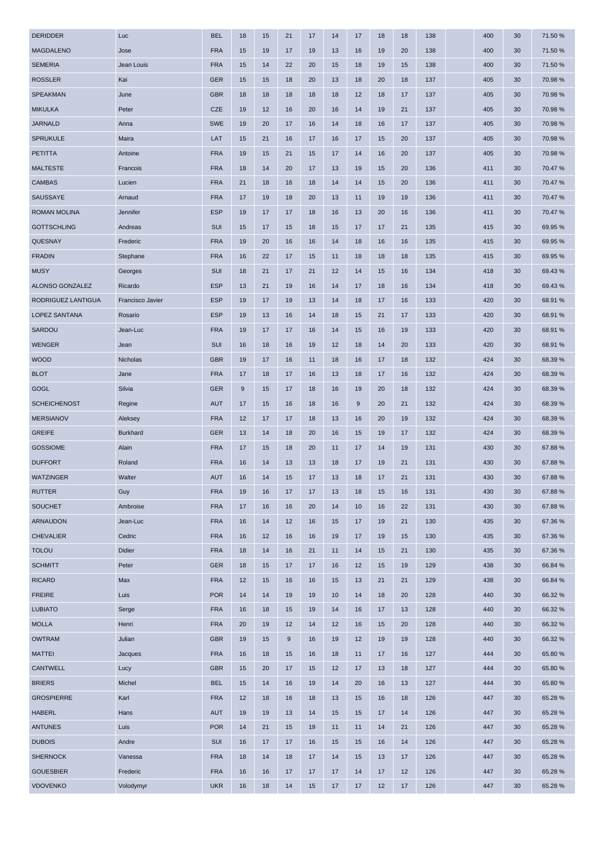| <b>DERIDDER</b>     | Luc              | <b>BEL</b> | 18 | 15 | 21    | 17 | 14 | 17 | 18 | 18 | 138 | 400 | 30 | 71.50 % |
|---------------------|------------------|------------|----|----|-------|----|----|----|----|----|-----|-----|----|---------|
| <b>MAGDALENO</b>    | Jose             | <b>FRA</b> | 15 | 19 | 17    | 19 | 13 | 16 | 19 | 20 | 138 | 400 | 30 | 71.50 % |
| <b>SEMERIA</b>      | Jean Louis       | <b>FRA</b> | 15 | 14 | 22    | 20 | 15 | 18 | 19 | 15 | 138 | 400 | 30 | 71.50 % |
| <b>ROSSLER</b>      | Kai              | <b>GER</b> | 15 | 15 | 18    | 20 | 13 | 18 | 20 | 18 | 137 | 405 | 30 | 70.98 % |
| SPEAKMAN            | June             | <b>GBR</b> | 18 | 18 | 18    | 18 | 18 | 12 | 18 | 17 | 137 | 405 | 30 | 70.98%  |
| <b>MIKULKA</b>      | Peter            | <b>CZE</b> | 19 | 12 | 16    | 20 | 16 | 14 | 19 | 21 | 137 | 405 | 30 | 70.98 % |
| <b>JARNALD</b>      | Anna             | <b>SWE</b> | 19 | 20 | 17    | 16 | 14 | 18 | 16 | 17 | 137 | 405 | 30 | 70.98%  |
| <b>SPRUKULE</b>     | Maira            | LAT        | 15 | 21 | 16    | 17 | 16 | 17 | 15 | 20 | 137 | 405 | 30 | 70.98%  |
| <b>PETITTA</b>      | Antoine          | <b>FRA</b> | 19 | 15 | 21    | 15 | 17 | 14 | 16 | 20 | 137 | 405 | 30 | 70.98 % |
| <b>MALTESTE</b>     | Francois         | <b>FRA</b> | 18 | 14 | 20    | 17 | 13 | 19 | 15 | 20 | 136 | 411 | 30 | 70.47%  |
| <b>CAMBAS</b>       | Lucien           | <b>FRA</b> | 21 | 18 | 16    | 18 | 14 | 14 | 15 | 20 | 136 | 411 | 30 | 70.47 % |
| SAUSSAYE            | Arnaud           | <b>FRA</b> | 17 | 19 | 18    | 20 | 13 | 11 | 19 | 19 | 136 | 411 | 30 | 70.47%  |
| <b>ROMAN MOLINA</b> | Jennifer         | <b>ESP</b> | 19 | 17 | 17    | 18 | 16 | 13 | 20 | 16 | 136 | 411 | 30 | 70.47 % |
| <b>GOTTSCHLING</b>  | Andreas          | SUI        | 15 | 17 | 15    | 18 | 15 | 17 | 17 | 21 | 135 | 415 | 30 | 69.95 % |
| QUESNAY             | Frederic         | <b>FRA</b> | 19 | 20 | 16    | 16 | 14 | 18 | 16 | 16 | 135 | 415 | 30 | 69.95 % |
| <b>FRADIN</b>       | Stephane         | <b>FRA</b> | 16 | 22 | 17    | 15 | 11 | 18 | 18 | 18 | 135 | 415 | 30 | 69.95 % |
| <b>MUSY</b>         | Georges          | SUI        | 18 | 21 | 17    | 21 | 12 | 14 | 15 | 16 | 134 | 418 | 30 | 69.43%  |
| ALONSO GONZALEZ     | Ricardo          | <b>ESP</b> | 13 | 21 | 19    | 16 | 14 | 17 | 18 | 16 | 134 | 418 | 30 | 69.43%  |
| RODRIGUEZ LANTIGUA  | Francisco Javier | <b>ESP</b> | 19 | 17 | 19    | 13 | 14 | 18 | 17 | 16 | 133 | 420 | 30 | 68.91 % |
| LOPEZ SANTANA       | Rosario          | <b>ESP</b> | 19 | 13 | 16    | 14 | 18 | 15 | 21 | 17 | 133 | 420 | 30 | 68.91 % |
| SARDOU              | Jean-Luc         | <b>FRA</b> | 19 | 17 | 17    | 16 | 14 | 15 | 16 | 19 | 133 | 420 | 30 | 68.91 % |
| <b>WENGER</b>       | Jean             | SUI        | 16 | 18 | 16    | 19 | 12 | 18 | 14 | 20 | 133 | 420 | 30 | 68.91 % |
| <b>WOOD</b>         | Nicholas         | <b>GBR</b> | 19 | 17 | 16    | 11 | 18 | 16 | 17 | 18 | 132 | 424 | 30 | 68.39 % |
| <b>BLOT</b>         | Jane             | <b>FRA</b> | 17 | 18 | 17    | 16 | 13 | 18 | 17 | 16 | 132 | 424 | 30 | 68.39 % |
| <b>GOGL</b>         | Silvia           | <b>GER</b> | 9  | 15 | 17    | 18 | 16 | 19 | 20 | 18 | 132 | 424 | 30 | 68.39 % |
| <b>SCHEICHENOST</b> | Regine           | <b>AUT</b> | 17 | 15 | 16    | 18 | 16 | 9  | 20 | 21 | 132 | 424 | 30 | 68.39 % |
| <b>MERSIANOV</b>    | Aleksey          | <b>FRA</b> | 12 | 17 | 17    | 18 | 13 | 16 | 20 | 19 | 132 | 424 | 30 | 68.39 % |
| <b>GREIFE</b>       | <b>Burkhard</b>  | GER        | 13 | 14 | 18    | 20 | 16 | 15 | 19 | 17 | 132 | 424 | 30 | 68.39 % |
| <b>GOSSIOME</b>     | Alain            | <b>FRA</b> | 17 | 15 | 18    | 20 | 11 | 17 | 14 | 19 | 131 | 430 | 30 | 67.88%  |
| <b>DUFFORT</b>      | Roland           | <b>FRA</b> | 16 | 14 | 13    | 13 | 18 | 17 | 19 | 21 | 131 | 430 | 30 | 67.88%  |
| <b>WATZINGER</b>    | Walter           | <b>AUT</b> | 16 | 14 | 15    | 17 | 13 | 18 | 17 | 21 | 131 | 430 | 30 | 67.88%  |
| <b>RUTTER</b>       | Guy              | <b>FRA</b> | 19 | 16 | 17    | 17 | 13 | 18 | 15 | 16 | 131 | 430 | 30 | 67.88%  |
| <b>SOUCHET</b>      | Ambroise         | <b>FRA</b> | 17 | 16 | 16    | 20 | 14 | 10 | 16 | 22 | 131 | 430 | 30 | 67.88%  |
| ARNAUDON            | Jean-Luc         | <b>FRA</b> | 16 | 14 | 12    | 16 | 15 | 17 | 19 | 21 | 130 | 435 | 30 | 67.36%  |
| <b>CHEVALIER</b>    | Cedric           | <b>FRA</b> | 16 | 12 | 16    | 16 | 19 | 17 | 19 | 15 | 130 | 435 | 30 | 67.36 % |
| <b>TOLOU</b>        | Didier           | <b>FRA</b> | 18 | 14 | 16    | 21 | 11 | 14 | 15 | 21 | 130 | 435 | 30 | 67.36%  |
| <b>SCHMITT</b>      | Peter            | <b>GER</b> | 18 | 15 | 17    | 17 | 16 | 12 | 15 | 19 | 129 | 438 | 30 | 66.84 % |
| <b>RICARD</b>       | Max              | <b>FRA</b> | 12 | 15 | 16    | 16 | 15 | 13 | 21 | 21 | 129 | 438 | 30 | 66.84 % |
| <b>FREIRE</b>       | Luis             | <b>POR</b> | 14 | 14 | 19    | 19 | 10 | 14 | 18 | 20 | 128 | 440 | 30 | 66.32 % |
| <b>LUBIATO</b>      | Serge            | <b>FRA</b> | 16 | 18 | 15    | 19 | 14 | 16 | 17 | 13 | 128 | 440 | 30 | 66.32 % |
| <b>MOLLA</b>        | Henri            | <b>FRA</b> | 20 | 19 | 12    | 14 | 12 | 16 | 15 | 20 | 128 | 440 | 30 | 66.32 % |
| <b>OWTRAM</b>       | Julian           | <b>GBR</b> | 19 | 15 | $9\,$ | 16 | 19 | 12 | 19 | 19 | 128 | 440 | 30 | 66.32%  |
| <b>MATTEI</b>       | Jacques          | <b>FRA</b> | 16 | 18 | 15    | 16 | 18 | 11 | 17 | 16 | 127 | 444 | 30 | 65.80 % |
| <b>CANTWELL</b>     | Lucy             | <b>GBR</b> | 15 | 20 | 17    | 15 | 12 | 17 | 13 | 18 | 127 | 444 | 30 | 65.80%  |
| <b>BRIERS</b>       | Michel           | <b>BEL</b> | 15 | 14 | 16    | 19 | 14 | 20 | 16 | 13 | 127 | 444 | 30 | 65.80 % |
| <b>GROSPIERRE</b>   | Karl             | <b>FRA</b> | 12 | 18 | 16    | 18 | 13 | 15 | 16 | 18 | 126 | 447 | 30 | 65.28 % |
| <b>HABERL</b>       | Hans             | <b>AUT</b> | 19 | 19 | 13    | 14 | 15 | 15 | 17 | 14 | 126 | 447 | 30 | 65.28%  |
| <b>ANTUNES</b>      | Luis             | <b>POR</b> | 14 | 21 | 15    | 19 | 11 | 11 | 14 | 21 | 126 | 447 | 30 | 65.28%  |
| <b>DUBOIS</b>       | Andre            | SUI        | 16 | 17 | 17    | 16 | 15 | 15 | 16 | 14 | 126 | 447 | 30 | 65.28 % |
| <b>SHERNOCK</b>     | Vanessa          | <b>FRA</b> | 18 | 14 | 18    | 17 | 14 | 15 | 13 | 17 | 126 | 447 | 30 | 65.28 % |
| <b>GOUESBIER</b>    | Frederic         | <b>FRA</b> | 16 | 16 | 17    | 17 | 17 | 14 | 17 | 12 | 126 | 447 | 30 | 65.28 % |
| <b>VDOVENKO</b>     | Volodymyr        | <b>UKR</b> | 16 | 18 | 14    | 15 | 17 | 17 | 12 | 17 | 126 | 447 | 30 | 65.28 % |
|                     |                  |            |    |    |       |    |    |    |    |    |     |     |    |         |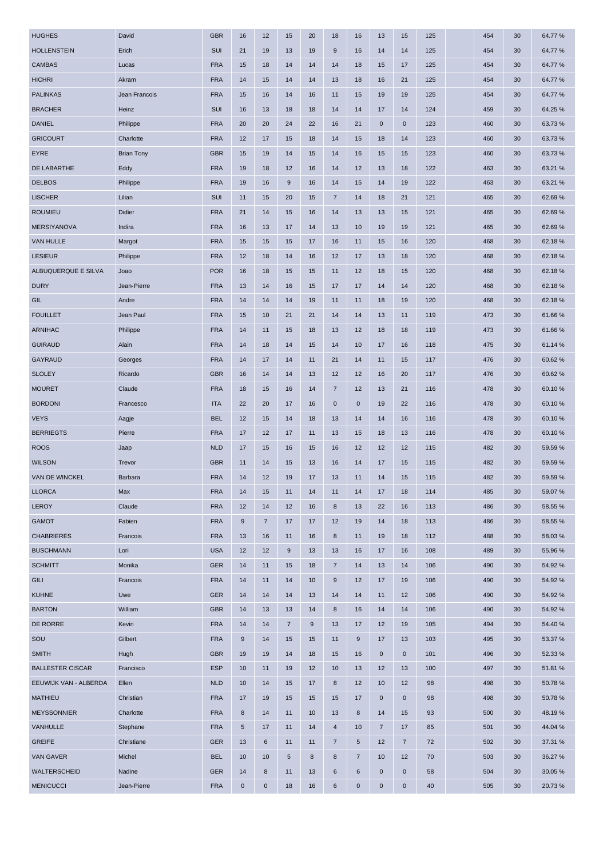| <b>HUGHES</b>           | David             | <b>GBR</b> | 16          | 12             | 15             | 20    | 18              | 16             | 13             | 15                  | 125 | 454 | 30 | 64.77%  |
|-------------------------|-------------------|------------|-------------|----------------|----------------|-------|-----------------|----------------|----------------|---------------------|-----|-----|----|---------|
| <b>HOLLENSTEIN</b>      | Erich             | SUI        | 21          | 19             | 13             | 19    | 9               | 16             | 14             | 14                  | 125 | 454 | 30 | 64.77%  |
| <b>CAMBAS</b>           | Lucas             | <b>FRA</b> | 15          | 18             | 14             | 14    | 14              | 18             | 15             | 17                  | 125 | 454 | 30 | 64.77%  |
| <b>HICHRI</b>           | Akram             | <b>FRA</b> | 14          | 15             | 14             | 14    | 13              | 18             | 16             | 21                  | 125 | 454 | 30 | 64.77%  |
| <b>PALINKAS</b>         | Jean Francois     | <b>FRA</b> | 15          | 16             | 14             | 16    | 11              | 15             | 19             | 19                  | 125 | 454 | 30 | 64.77%  |
| <b>BRACHER</b>          | Heinz             | SUI        | 16          | 13             | 18             | 18    | 14              | 14             | 17             | 14                  | 124 | 459 | 30 | 64.25 % |
| <b>DANIEL</b>           | Philippe          | <b>FRA</b> | 20          | 20             | 24             | 22    | 16              | 21             | $\mathbf 0$    | $\mathbf 0$         | 123 | 460 | 30 | 63.73%  |
| <b>GRICOURT</b>         | Charlotte         | <b>FRA</b> | 12          | 17             | 15             | 18    | 14              | 15             | 18             | 14                  | 123 | 460 | 30 | 63.73%  |
| <b>EYRE</b>             | <b>Brian Tony</b> | <b>GBR</b> | 15          | 19             | 14             | 15    | 14              | 16             | 15             | 15                  | 123 | 460 | 30 | 63.73 % |
| DE LABARTHE             | Eddy              | <b>FRA</b> | 19          | 18             | 12             | 16    | 14              | 12             | 13             | 18                  | 122 | 463 | 30 | 63.21 % |
| <b>DELBOS</b>           | Philippe          | <b>FRA</b> | 19          | 16             | 9              | 16    | 14              | 15             | 14             | 19                  | 122 | 463 | 30 | 63.21 % |
| <b>LISCHER</b>          | Lilian            | SUI        | 11          | 15             | 20             | 15    | $\overline{7}$  | 14             | 18             | 21                  | 121 | 465 | 30 | 62.69%  |
| <b>ROUMIEU</b>          | Didier            | <b>FRA</b> | 21          | 14             | 15             | 16    | 14              | 13             | 13             | 15                  | 121 | 465 | 30 | 62.69%  |
| <b>MERSIYANOVA</b>      | Indira            | <b>FRA</b> | 16          | 13             | 17             | 14    | 13              | 10             | 19             | 19                  | 121 | 465 | 30 | 62.69%  |
| <b>VAN HULLE</b>        | Margot            | <b>FRA</b> | 15          | 15             | 15             | 17    | 16              | 11             | 15             | 16                  | 120 | 468 | 30 | 62.18%  |
| <b>LESIEUR</b>          | Philippe          | <b>FRA</b> | 12          | 18             | 14             | 16    | 12              | 17             | 13             | 18                  | 120 | 468 | 30 | 62.18%  |
| ALBUQUERQUE E SILVA     | Joao              | <b>POR</b> | 16          | 18             | 15             | 15    | 11              | 12             | 18             | 15                  | 120 | 468 | 30 | 62.18%  |
| <b>DURY</b>             | Jean-Pierre       | <b>FRA</b> | 13          | 14             | 16             | 15    | 17              | 17             | 14             | 14                  | 120 | 468 | 30 | 62.18%  |
| GIL                     | Andre             | <b>FRA</b> | 14          | 14             | 14             | 19    | 11              | 11             | 18             | 19                  | 120 | 468 | 30 | 62.18%  |
| <b>FOUILLET</b>         | Jean Paul         | <b>FRA</b> | 15          | 10             | 21             | 21    | 14              | 14             | 13             | 11                  | 119 | 473 | 30 | 61.66%  |
| ARNIHAC                 | Philippe          | <b>FRA</b> | 14          | 11             | 15             | 18    | 13              | 12             | 18             | 18                  | 119 | 473 | 30 | 61.66%  |
| <b>GUIRAUD</b>          | Alain             | <b>FRA</b> | 14          | 18             | 14             | 15    | 14              | 10             | 17             | 16                  | 118 | 475 | 30 | 61.14 % |
| <b>GAYRAUD</b>          | Georges           | <b>FRA</b> | 14          | 17             | 14             | 11    | 21              | 14             | 11             | 15                  | 117 | 476 | 30 | 60.62%  |
| <b>SLOLEY</b>           | Ricardo           | <b>GBR</b> | 16          | 14             | 14             | 13    | 12              | 12             | 16             | 20                  | 117 | 476 | 30 | 60.62%  |
| <b>MOURET</b>           | Claude            | <b>FRA</b> | 18          | 15             | 16             | 14    | $\overline{7}$  | 12             | 13             | 21                  | 116 | 478 | 30 | 60.10%  |
| <b>BORDONI</b>          | Francesco         | <b>ITA</b> | 22          | 20             | 17             | 16    | $\bf{0}$        | $\mathbf 0$    | 19             | 22                  | 116 | 478 | 30 | 60.10%  |
| <b>VEYS</b>             | Aagje             | <b>BEL</b> | 12          | 15             | 14             | 18    | 13              | 14             | 14             | 16                  | 116 | 478 | 30 | 60.10%  |
| <b>BERRIEGTS</b>        | Pierre            | <b>FRA</b> | 17          | 12             | 17             | 11    | 13              | 15             | 18             | 13                  | 116 | 478 | 30 | 60.10%  |
| <b>ROOS</b>             | Jaap              | <b>NLD</b> | 17          | 15             | 16             | 15    | 16              | 12             | 12             | 12                  | 115 | 482 | 30 | 59.59 % |
| <b>WILSON</b>           | Trevor            | <b>GBR</b> | 11          | 14             | 15             | 13    | 16              | 14             | 17             | 15                  | 115 | 482 | 30 | 59.59 % |
| VAN DE WINCKEL          | Barbara           | <b>FRA</b> | 14          | 12             | 19             | 17    | 13              | 11             | 14             | 15                  | 115 | 482 | 30 | 59.59 % |
| <b>LLORCA</b>           | Max               | <b>FRA</b> | 14          | 15             | 11             | 14    | 11              | 14             | 17             | 18                  | 114 | 485 | 30 | 59.07%  |
| <b>LEROY</b>            | Claude            | <b>FRA</b> | 12          | 14             | 12             | 16    | $\bf8$          | 13             | 22             | 16                  | 113 | 486 | 30 | 58.55 % |
| <b>GAMOT</b>            | Fabien            | <b>FRA</b> | 9           | $\overline{7}$ | 17             | 17    | 12              | 19             | 14             | 18                  | 113 | 486 | 30 | 58.55 % |
| <b>CHABRIERES</b>       | Francois          | <b>FRA</b> | 13          | 16             | 11             | 16    | 8               | 11             | 19             | 18                  | 112 | 488 | 30 | 58.03%  |
| <b>BUSCHMANN</b>        | Lori              | <b>USA</b> | 12          | 12             | 9              | 13    | 13              | 16             | 17             | 16                  | 108 | 489 | 30 | 55.96 % |
| <b>SCHMITT</b>          | Monika            | <b>GER</b> | 14          | 11             | 15             | 18    | $\overline{7}$  | 14             | 13             | 14                  | 106 | 490 | 30 | 54.92 % |
| <b>GILI</b>             | Francois          | <b>FRA</b> | 14          | 11             | 14             | 10    | $9\,$           | 12             | 17             | 19                  | 106 | 490 | 30 | 54.92%  |
| <b>KUHNE</b>            | Uwe               | <b>GER</b> | 14          | 14             | 14             | 13    | 14              | 14             | 11             | 12                  | 106 | 490 | 30 | 54.92%  |
| <b>BARTON</b>           | William           | <b>GBR</b> | 14          | 13             | 13             | 14    | 8               | 16             | 14             | 14                  | 106 | 490 | 30 | 54.92%  |
| DE RORRE                | Kevin             | <b>FRA</b> | 14          | 14             | $\overline{7}$ | $9\,$ | 13              | 17             | 12             | 19                  | 105 | 494 | 30 | 54.40 % |
| SOU                     | Gilbert           | <b>FRA</b> | $9\,$       | 14             | 15             | 15    | 11              | 9              | 17             | 13                  | 103 | 495 | 30 | 53.37 % |
| <b>SMITH</b>            | Hugh              | <b>GBR</b> | 19          | 19             | 14             | 18    | 15              | 16             | $\bf{0}$       | $\mathbf 0$         | 101 | 496 | 30 | 52.33 % |
| <b>BALLESTER CISCAR</b> | Francisco         | <b>ESP</b> | 10          | 11             | 19             | 12    | 10              | 13             | 12             | 13                  | 100 | 497 | 30 | 51.81 % |
| EEUWIJK VAN - ALBERDA   | Ellen             | <b>NLD</b> | 10          | 14             | 15             | 17    | 8               | 12             | 10             | 12                  | 98  | 498 | 30 | 50.78%  |
| <b>MATHIEU</b>          | Christian         | <b>FRA</b> | 17          | 19             | 15             | 15    | 15              | 17             | $\mathbf 0$    | $\mathsf{O}\xspace$ | 98  | 498 | 30 | 50.78%  |
| <b>MEYSSONNIER</b>      | Charlotte         | <b>FRA</b> | 8           | 14             | 11             | 10    | 13              | 8              | 14             | 15                  | 93  | 500 | 30 | 48.19%  |
| VANHULLE                | Stephane          | <b>FRA</b> | 5           | 17             | 11             | 14    | $\overline{4}$  | 10             | $\overline{7}$ | 17                  | 85  | 501 | 30 | 44.04 % |
| <b>GREIFE</b>           | Christiane        | <b>GER</b> | 13          | 6              | 11             | 11    | $\overline{7}$  | 5              | 12             | $\overline{7}$      | 72  | 502 | 30 | 37.31 % |
| <b>VAN GAVER</b>        | Michel            | <b>BEL</b> | 10          | 10             | 5              | 8     | 8               | $\overline{7}$ | 10             | 12                  | 70  | 503 | 30 | 36.27 % |
| WALTERSCHEID            | Nadine            | <b>GER</b> | 14          | 8              | 11             | 13    | $6\phantom{1}6$ | 6              | $\mathbf 0$    | $\mathbf 0$         | 58  | 504 | 30 | 30.05 % |
| <b>MENICUCCI</b>        | Jean-Pierre       | <b>FRA</b> | $\mathbf 0$ | $\pmb{0}$      | 18             | 16    | 6               | 0              | $\pmb{0}$      | $\pmb{0}$           | 40  | 505 | 30 | 20.73%  |
|                         |                   |            |             |                |                |       |                 |                |                |                     |     |     |    |         |